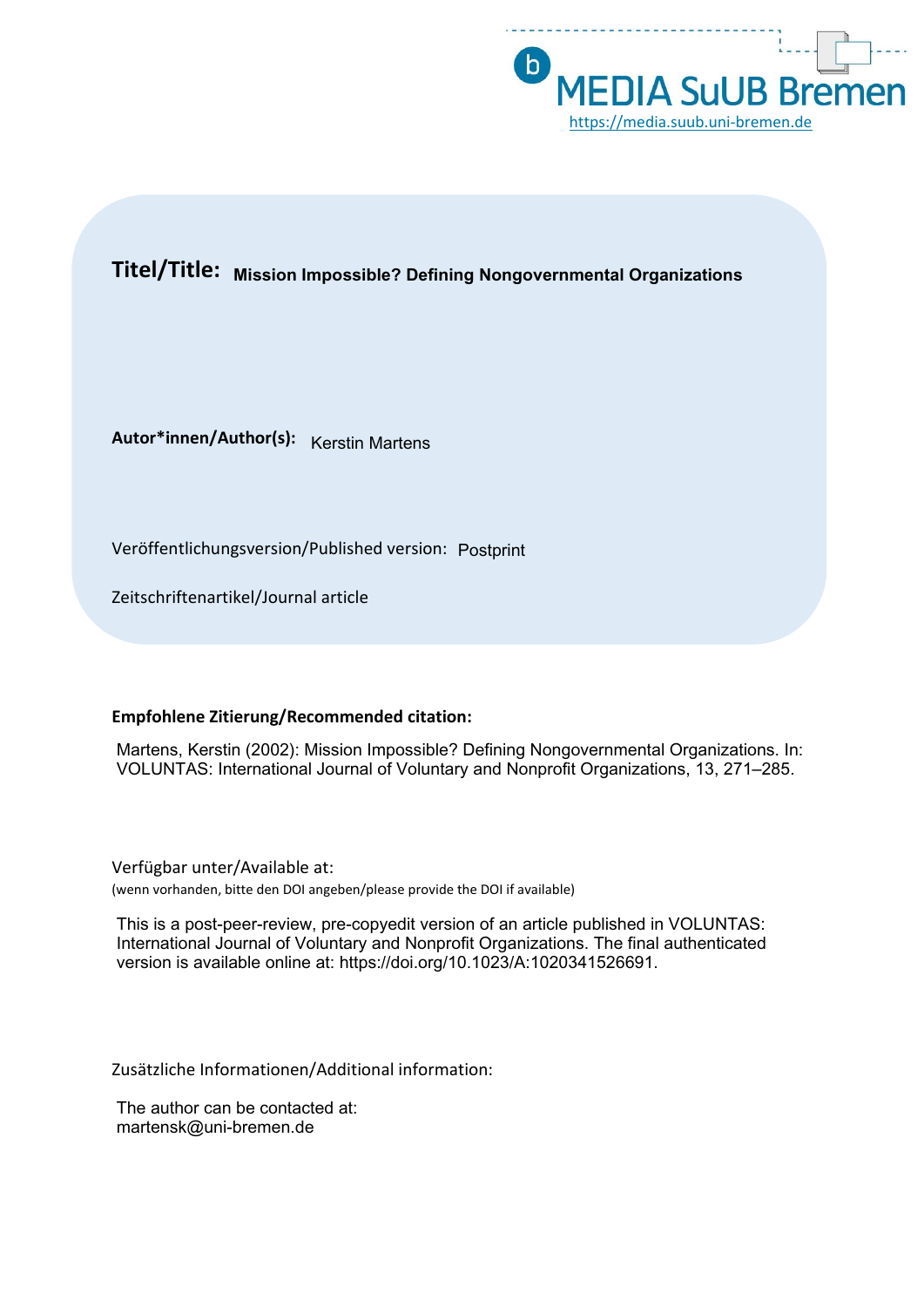

# **Titel/Title: Mission Impossible? Defining Nongovernmental Organizations**

**Autor\*innen/Author(s):** Kerstin Martens

Veröffentlichungsversion/Published version: Postprint

Zeitschriftenartikel/Journal article

# **Empfohlene Zitierung/Recommended citation:**

Martens, Kerstin (2002): Mission Impossible? Defining Nongovernmental Organizations. In: VOLUNTAS: International Journal of Voluntary and Nonprofit Organizations, 13, 271–285.

Verfügbar unter/Available at: (wenn vorhanden, bitte den DOI angeben/please provide the DOI if available)

This is a post-peer-review, pre-copyedit version of an article published in VOLUNTAS: International Journal of Voluntary and Nonprofit Organizations. The final authenticated version is available online at: https://doi.org/10.1023/A:1020341526691.

Zusätzliche Informationen/Additional information:

The author can be contacted at: martensk@uni-bremen.de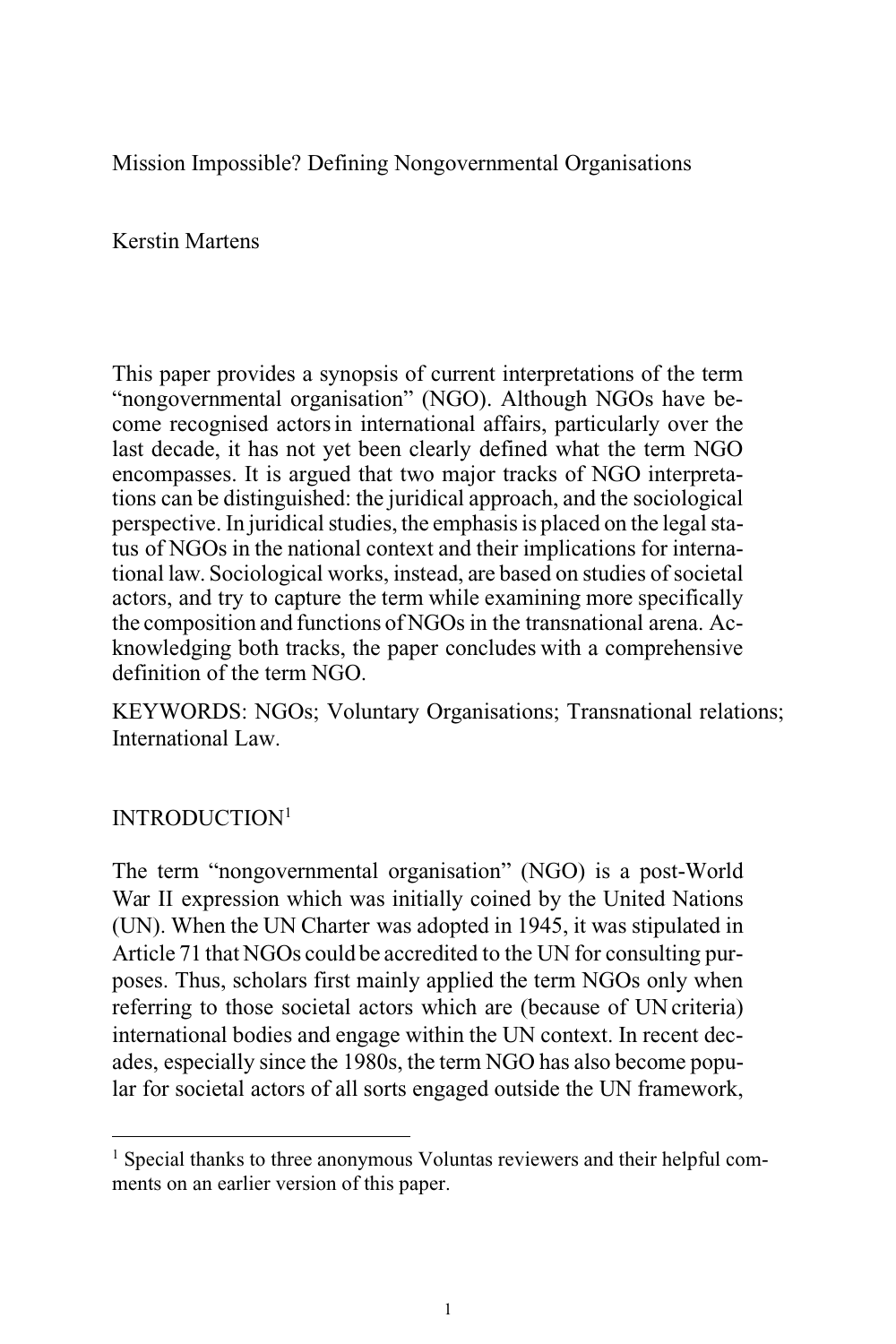Mission Impossible? Defining Nongovernmental Organisations

Kerstin Martens

This paper provides a synopsis of current interpretations of the term "nongovernmental organisation" (NGO). Although NGOs have become recognised actorsin international affairs, particularly over the last decade, it has not yet been clearly defined what the term NGO encompasses. It is argued that two major tracks of NGO interpretations can be distinguished: the juridical approach, and the sociological perspective. In juridical studies, the emphasis is placed on the legal status of NGOs in the national context and their implications for international law. Sociological works, instead, are based on studies of societal actors, and try to capture the term while examining more specifically the composition and functions of NGOs in the transnational arena. Acknowledging both tracks, the paper concludes with a comprehensive definition of the term NGO.

KEYWORDS: NGOs; Voluntary Organisations; Transnational relations; International Law.

# INTRODUCTION<sup>1</sup>

The term "nongovernmental organisation" (NGO) is a post-World War II expression which was initially coined by the United Nations (UN). When the UN Charter was adopted in 1945, it was stipulated in Article 71 that NGOs could be accredited to the UN for consulting purposes. Thus, scholars first mainly applied the term NGOs only when referring to those societal actors which are (because of UN criteria) international bodies and engage within the UN context. In recent decades, especially since the 1980s, the term NGO has also become popular for societal actors of all sorts engaged outside the UN framework,

<sup>&</sup>lt;sup>1</sup> Special thanks to three anonymous Voluntas reviewers and their helpful comments on an earlier version of this paper.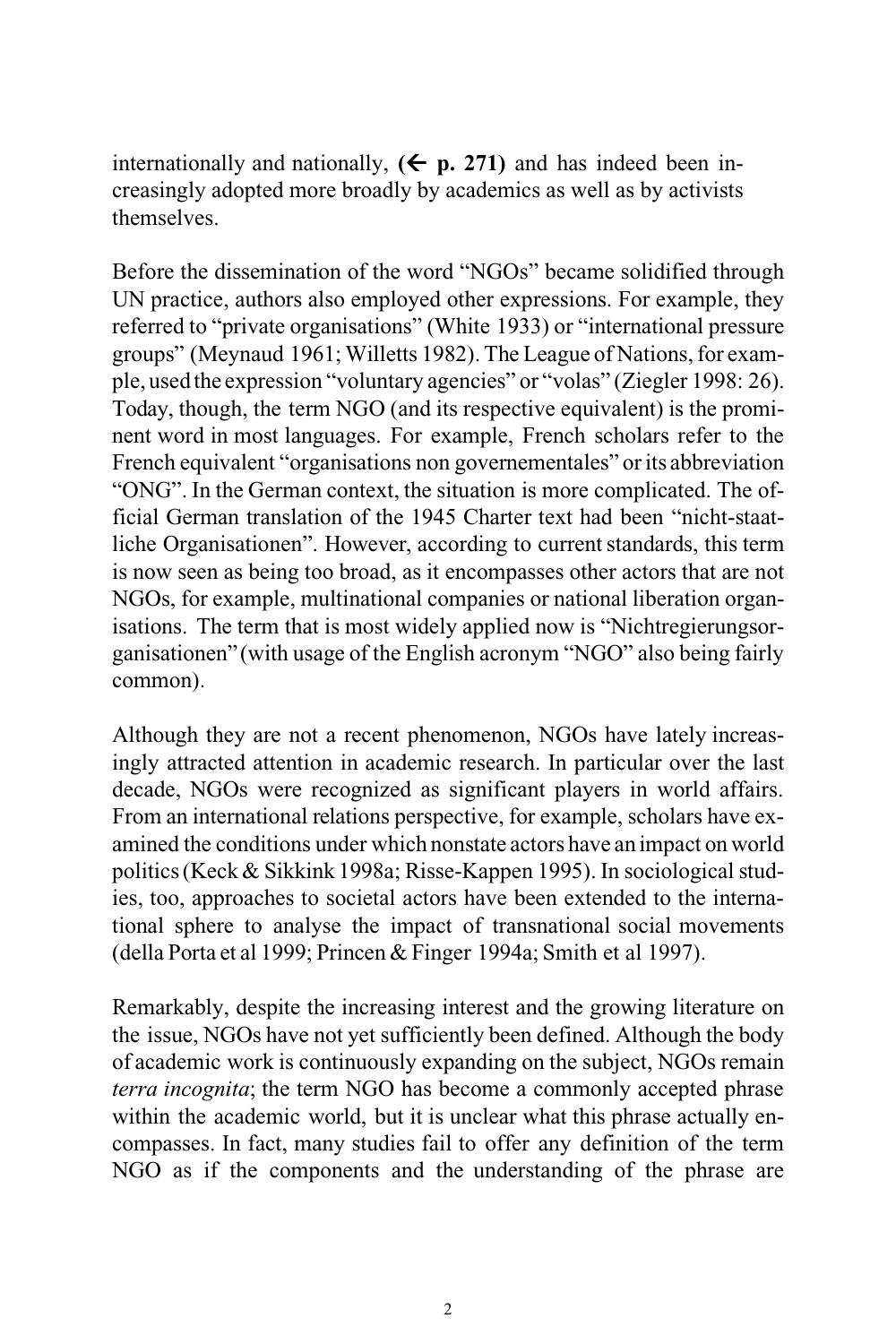internationally and nationally,  $(\epsilon \text{ p. } 271)$  and has indeed been increasingly adopted more broadly by academics as well as by activists themselves.

Before the dissemination of the word "NGOs" became solidified through UN practice, authors also employed other expressions. For example, they referred to "private organisations" (White 1933) or "international pressure groups" (Meynaud 1961; Willetts 1982). The League of Nations,for example, used the expression "voluntary agencies" or "volas" (Ziegler 1998: 26). Today, though, the term NGO (and its respective equivalent) is the prominent word in most languages. For example, French scholars refer to the French equivalent "organisations non governementales" or its abbreviation "ONG". In the German context, the situation is more complicated. The official German translation of the 1945 Charter text had been "nicht-staatliche Organisationen". However, according to current standards, this term is now seen as being too broad, as it encompasses other actors that are not NGOs, for example, multinational companies or national liberation organisations. The term that is most widely applied now is "Nichtregierungsorganisationen" (with usage of the English acronym "NGO" also being fairly common).

Although they are not a recent phenomenon, NGOs have lately increasingly attracted attention in academic research. In particular over the last decade, NGOs were recognized as significant players in world affairs. From an international relations perspective, for example, scholars have examined the conditions under which nonstate actors have an impact on world politics(Keck& Sikkink 1998a; Risse-Kappen 1995). In sociological studies, too, approaches to societal actors have been extended to the international sphere to analyse the impact of transnational social movements (della Porta et al 1999; Princen & Finger 1994a; Smith et al 1997).

Remarkably, despite the increasing interest and the growing literature on the issue, NGOs have not yet sufficiently been defined. Although the body of academic work is continuously expanding on the subject, NGOs remain *terra incognita*; the term NGO has become a commonly accepted phrase within the academic world, but it is unclear what this phrase actually encompasses. In fact, many studies fail to offer any definition of the term NGO as if the components and the understanding of the phrase are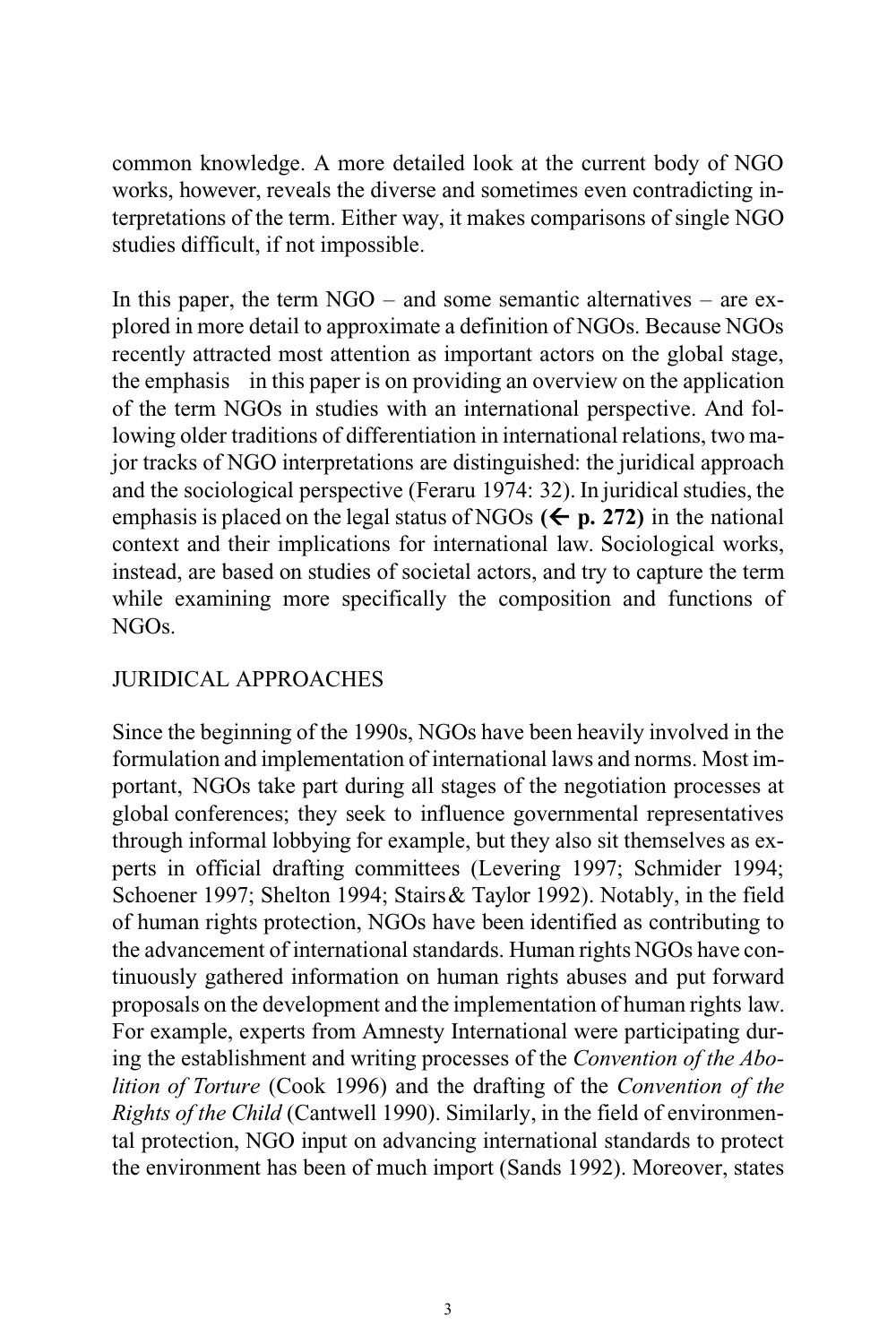common knowledge. A more detailed look at the current body of NGO works, however, reveals the diverse and sometimes even contradicting interpretations of the term. Either way, it makes comparisons of single NGO studies difficult, if not impossible.

In this paper, the term  $NGO -$  and some semantic alternatives – are explored in more detail to approximate a definition of NGOs. Because NGOs recently attracted most attention as important actors on the global stage, the emphasis in this paper is on providing an overview on the application of the term NGOs in studies with an international perspective. And following older traditions of differentiation in international relations, two major tracks of NGO interpretations are distinguished: the juridical approach and the sociological perspective (Feraru 1974: 32). In juridical studies, the emphasis is placed on the legal status of NGOs  $(\Leftarrow p. 272)$  in the national context and their implications for international law. Sociological works, instead, are based on studies of societal actors, and try to capture the term while examining more specifically the composition and functions of NGOs.

## JURIDICAL APPROACHES

Since the beginning of the 1990s, NGOs have been heavily involved in the formulation and implementation of international laws and norms. Most important, NGOs take part during all stages of the negotiation processes at global conferences; they seek to influence governmental representatives through informal lobbying for example, but they also sit themselves as experts in official drafting committees (Levering 1997; Schmider 1994; Schoener 1997; Shelton 1994; Stairs& Taylor 1992). Notably, in the field of human rights protection, NGOs have been identified as contributing to the advancement of international standards. Human rights NGOs have continuously gathered information on human rights abuses and put forward proposals on the development and the implementation of human rights law. For example, experts from Amnesty International were participating during the establishment and writing processes of the *Convention of the Abolition of Torture* (Cook 1996) and the drafting of the *Convention of the Rights of the Child* (Cantwell 1990). Similarly, in the field of environmental protection, NGO input on advancing international standards to protect the environment has been of much import (Sands 1992). Moreover, states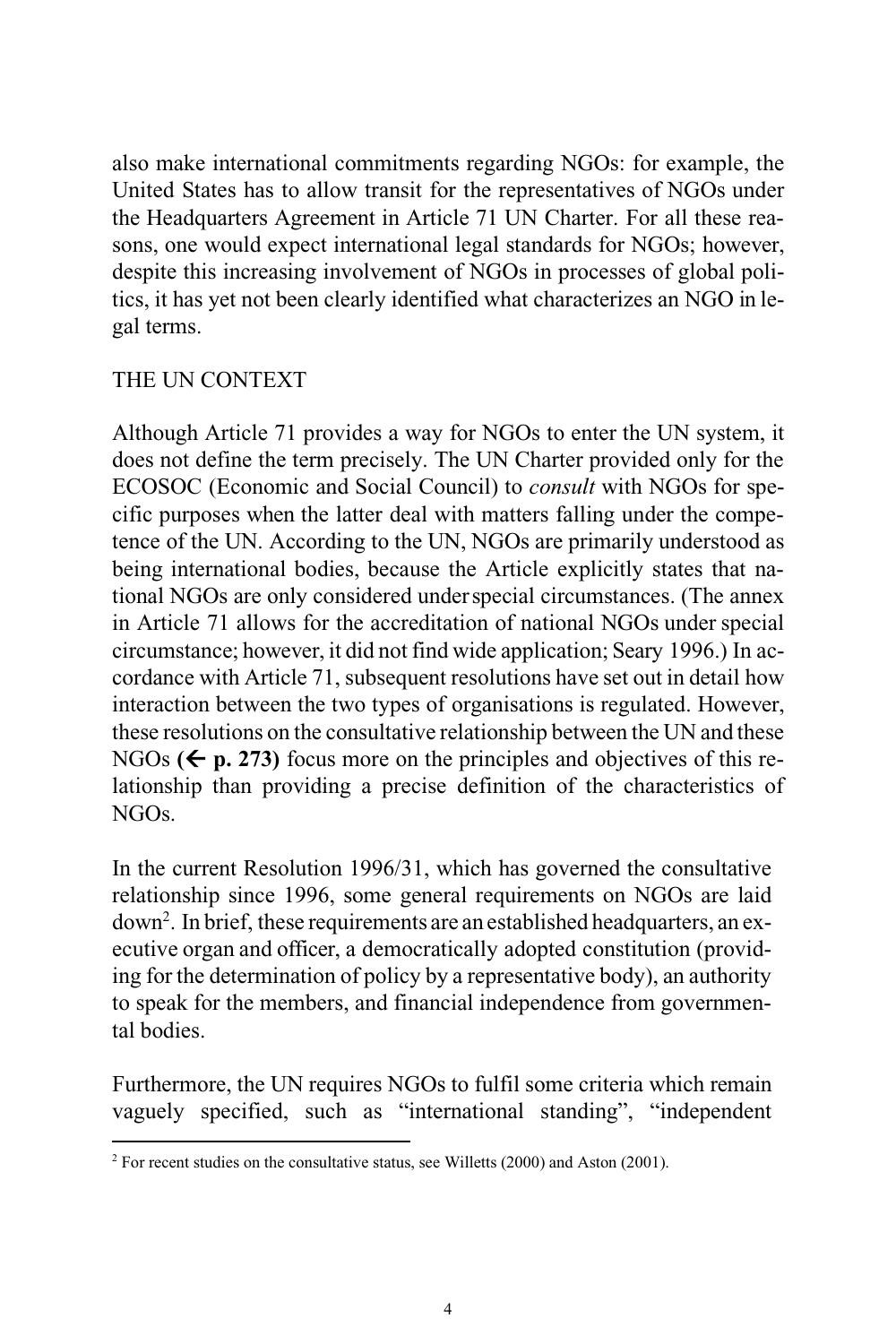also make international commitments regarding NGOs: for example, the United States has to allow transit for the representatives of NGOs under the Headquarters Agreement in Article 71 UN Charter. For all these reasons, one would expect international legal standards for NGOs; however, despite this increasing involvement of NGOs in processes of global politics, it has yet not been clearly identified what characterizes an NGO in legal terms.

### THE UN CONTEXT

Although Article 71 provides a way for NGOs to enter the UN system, it does not define the term precisely. The UN Charter provided only for the ECOSOC (Economic and Social Council) to *consult* with NGOs for specific purposes when the latter deal with matters falling under the competence of the UN. According to the UN, NGOs are primarily understood as being international bodies, because the Article explicitly states that national NGOs are only considered underspecial circumstances. (The annex in Article 71 allows for the accreditation of national NGOs under special circumstance; however, it did not find wide application; Seary 1996.) In accordance with Article 71, subsequent resolutions have set out in detail how interaction between the two types of organisations is regulated. However, these resolutions on the consultative relationship between the UN and these NGOs  $(\epsilon)$  **p. 273**) focus more on the principles and objectives of this relationship than providing a precise definition of the characteristics of NGOs.

In the current Resolution 1996/31, which has governed the consultative relationship since 1996, some general requirements on NGOs are laid down<sup>2</sup> . In brief, these requirements are an established headquarters, an executive organ and officer, a democratically adopted constitution (providing for the determination of policy by a representative body), an authority to speak for the members, and financial independence from governmental bodies.

Furthermore, the UN requires NGOs to fulfil some criteria which remain vaguely specified, such as "international standing", "independent

 $2$  For recent studies on the consultative status, see Willetts (2000) and Aston (2001).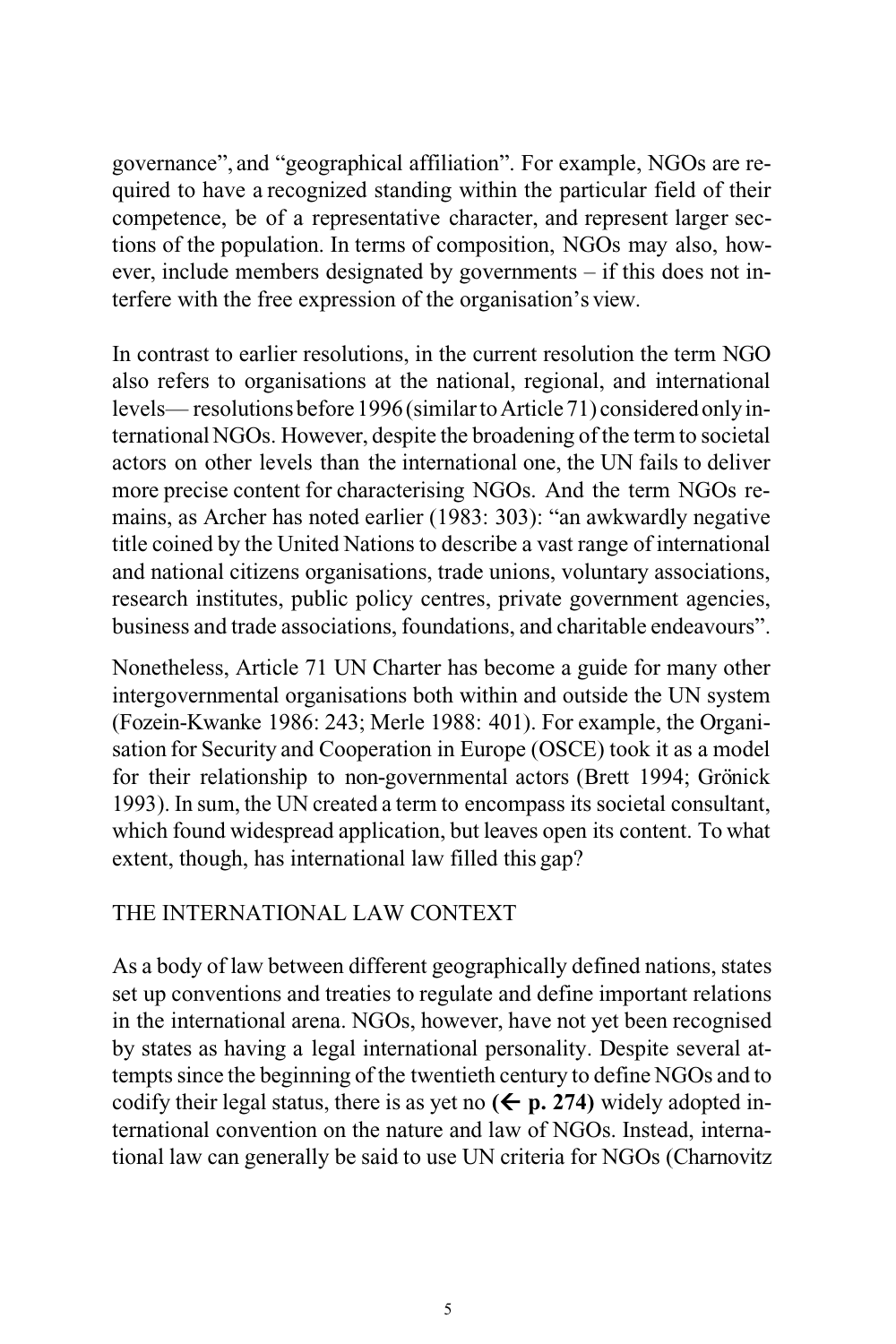governance", and "geographical affiliation". For example, NGOs are required to have a recognized standing within the particular field of their competence, be of a representative character, and represent larger sections of the population. In terms of composition, NGOs may also, however, include members designated by governments – if this does not interfere with the free expression of the organisation's view.

In contrast to earlier resolutions, in the current resolution the term NGO also refers to organisations at the national, regional, and international levels— resolutions before 1996 (similar to Article 71) considered only internationalNGOs. However, despite the broadening of the term to societal actors on other levels than the international one, the UN fails to deliver more precise content for characterising NGOs. And the term NGOs remains, as Archer has noted earlier (1983: 303): "an awkwardly negative title coined by the United Nations to describe a vast range of international and national citizens organisations, trade unions, voluntary associations, research institutes, public policy centres, private government agencies, business and trade associations, foundations, and charitable endeavours".

Nonetheless, Article 71 UN Charter has become a guide for many other intergovernmental organisations both within and outside the UN system (Fozein-Kwanke 1986: 243; Merle 1988: 401). For example, the Organisation for Security and Cooperation in Europe (OSCE) took it as a model for their relationship to non-governmental actors (Brett 1994; Grönick 1993). In sum, the UN created a term to encompass its societal consultant, which found widespread application, but leaves open its content. To what extent, though, has international law filled this gap?

#### THE INTERNATIONAL LAW CONTEXT

As a body of law between different geographically defined nations, states set up conventions and treaties to regulate and define important relations in the international arena. NGOs, however, have not yet been recognised by states as having a legal international personality. Despite several attempts since the beginning of the twentieth century to define NGOs and to codify their legal status, there is as yet no  $(\Leftarrow p. 274)$  widely adopted international convention on the nature and law of NGOs. Instead, international law can generally be said to use UN criteria for NGOs (Charnovitz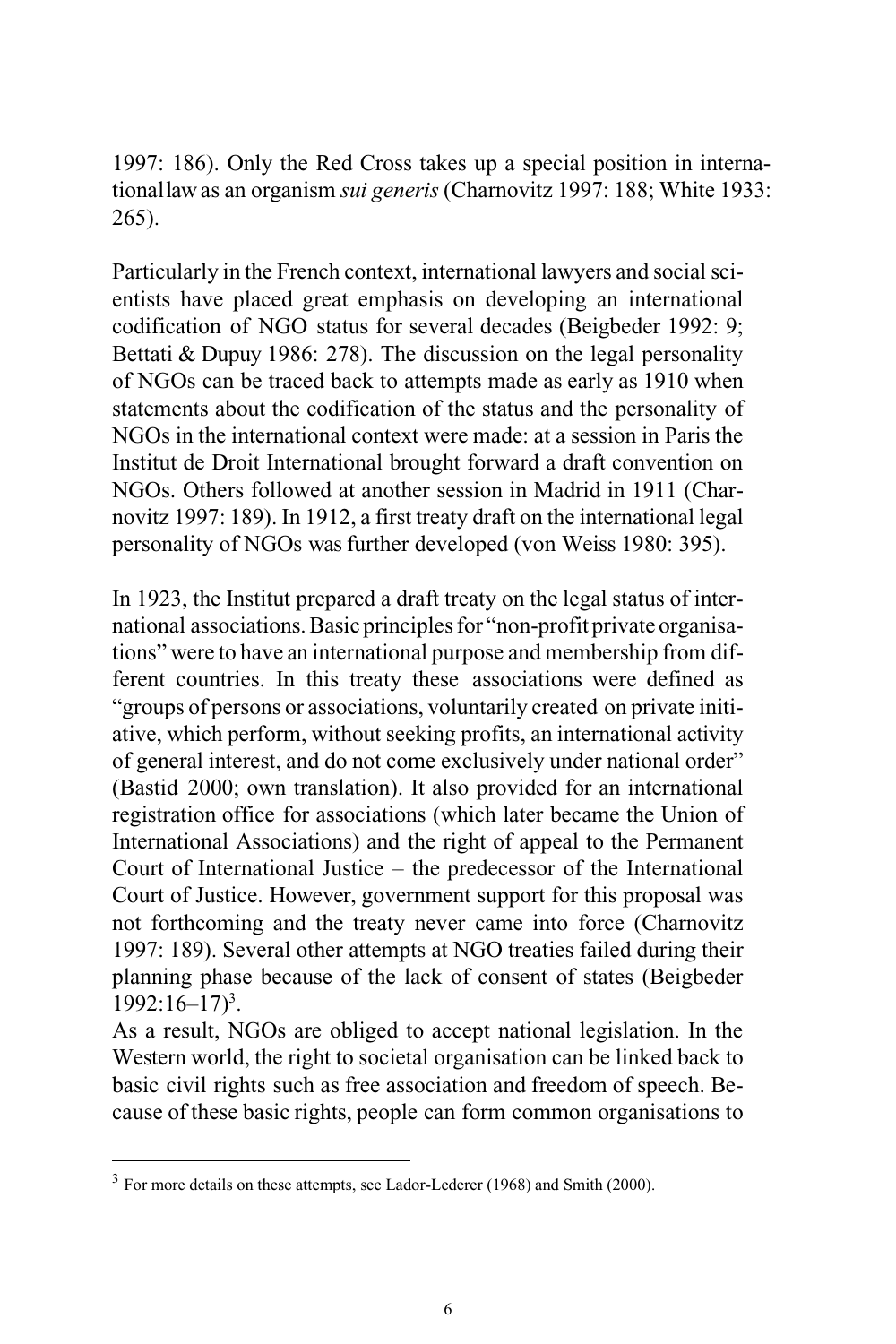1997: 186). Only the Red Cross takes up a special position in internationallaw as an organism *sui generis* (Charnovitz 1997: 188; White 1933: 265).

Particularly in the French context, international lawyers and social scientists have placed great emphasis on developing an international codification of NGO status for several decades (Beigbeder 1992: 9; Bettati & Dupuy 1986: 278). The discussion on the legal personality of NGOs can be traced back to attempts made as early as 1910 when statements about the codification of the status and the personality of NGOs in the international context were made: at a session in Paris the Institut de Droit International brought forward a draft convention on NGOs. Others followed at another session in Madrid in 1911 (Charnovitz 1997: 189). In 1912, a first treaty draft on the international legal personality of NGOs was further developed (von Weiss 1980: 395).

In 1923, the Institut prepared a draft treaty on the legal status of international associations. Basic principles for "non-profit private organisations" were to have an international purpose and membership from different countries. In this treaty these associations were defined as "groups of persons or associations, voluntarily created on private initiative, which perform, without seeking profits, an international activity of general interest, and do not come exclusively under national order" (Bastid 2000; own translation). It also provided for an international registration office for associations (which later became the Union of International Associations) and the right of appeal to the Permanent Court of International Justice – the predecessor of the International Court of Justice. However, government support for this proposal was not forthcoming and the treaty never came into force (Charnovitz 1997: 189). Several other attempts at NGO treaties failed during their planning phase because of the lack of consent of states (Beigbeder 1992:16–17)<sup>3</sup> .

As a result, NGOs are obliged to accept national legislation. In the Western world, the right to societal organisation can be linked back to basic civil rights such as free association and freedom of speech. Because of these basic rights, people can form common organisations to

 $3$  For more details on these attempts, see Lador-Lederer (1968) and Smith (2000).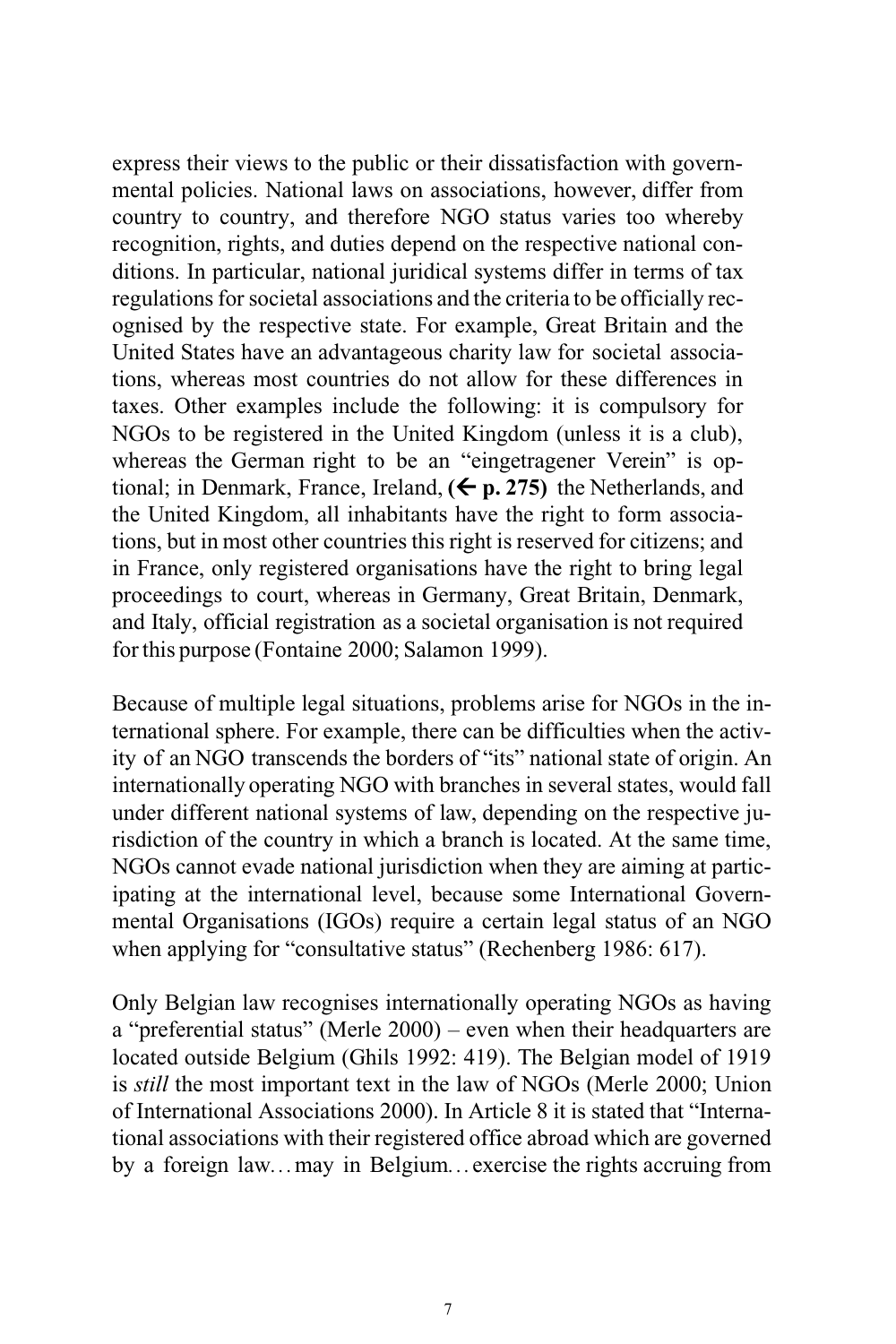express their views to the public or their dissatisfaction with governmental policies. National laws on associations, however, differ from country to country, and therefore NGO status varies too whereby recognition, rights, and duties depend on the respective national conditions. In particular, national juridical systems differ in terms of tax regulations for societal associations and the criteria to be officially recognised by the respective state. For example, Great Britain and the United States have an advantageous charity law for societal associations, whereas most countries do not allow for these differences in taxes. Other examples include the following: it is compulsory for NGOs to be registered in the United Kingdom (unless it is a club), whereas the German right to be an "eingetragener Verein" is optional; in Denmark, France, Ireland,  $(\Leftarrow p. 275)$  the Netherlands, and the United Kingdom, all inhabitants have the right to form associations, but in most other countries this right is reserved for citizens; and in France, only registered organisations have the right to bring legal proceedings to court, whereas in Germany, Great Britain, Denmark, and Italy, official registration as a societal organisation is not required forthis purpose (Fontaine 2000; Salamon 1999).

Because of multiple legal situations, problems arise for NGOs in the international sphere. For example, there can be difficulties when the activity of an NGO transcends the borders of "its" national state of origin. An internationally operating NGO with branches in several states, would fall under different national systems of law, depending on the respective jurisdiction of the country in which a branch is located. At the same time, NGOs cannot evade national jurisdiction when they are aiming at participating at the international level, because some International Governmental Organisations (IGOs) require a certain legal status of an NGO when applying for "consultative status" (Rechenberg 1986: 617).

Only Belgian law recognises internationally operating NGOs as having a "preferential status" (Merle 2000) – even when their headquarters are located outside Belgium (Ghils 1992: 419). The Belgian model of 1919 is *still* the most important text in the law of NGOs (Merle 2000; Union of International Associations 2000). In Article 8 it is stated that "International associations with their registered office abroad which are governed by a foreign law*...*may in Belgium*...*exercise the rights accruing from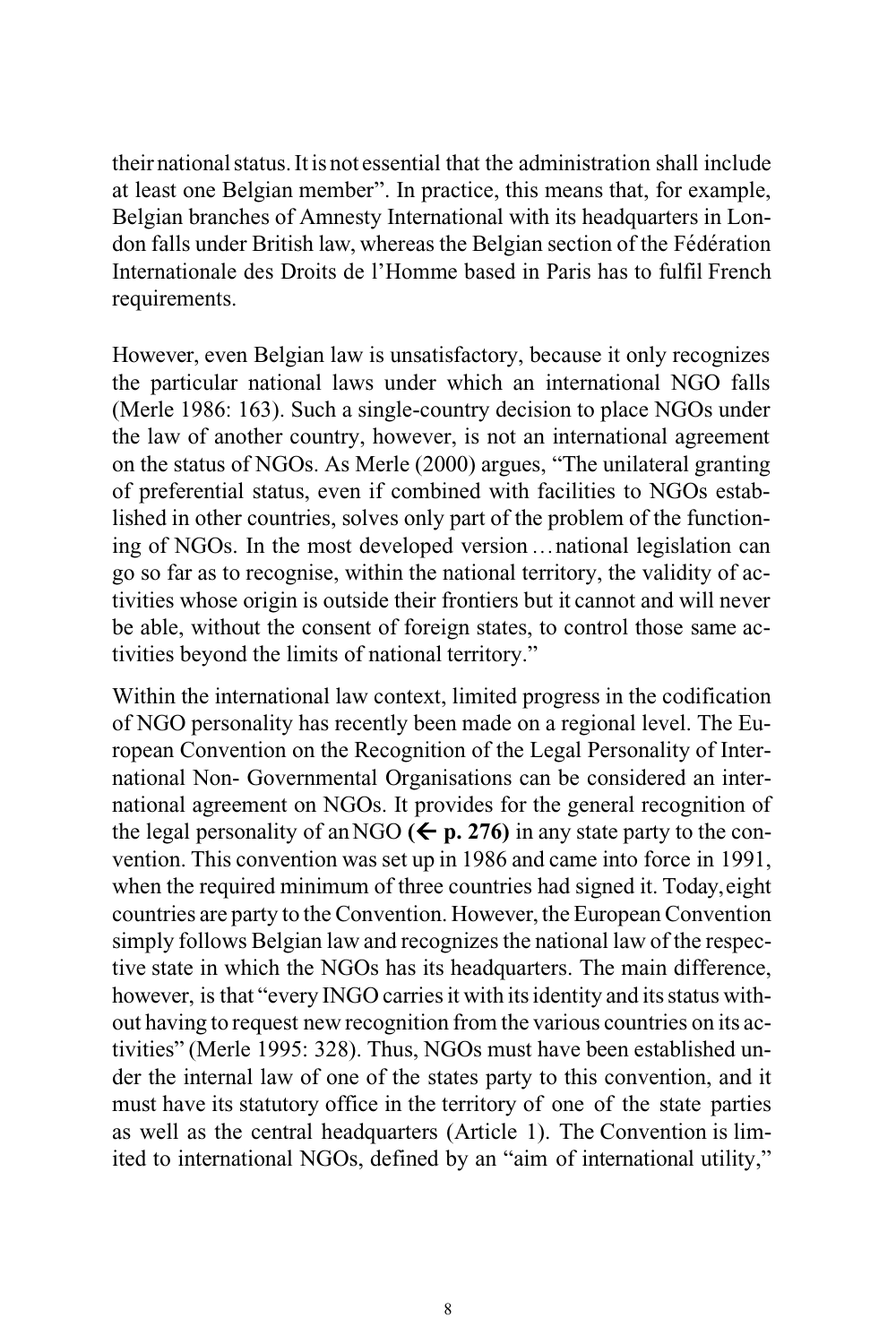their national status. It is not essential that the administration shall include at least one Belgian member". In practice, this means that, for example, Belgian branches of Amnesty International with its headquarters in London falls under British law, whereas the Belgian section of the Fédération Internationale des Droits de l'Homme based in Paris has to fulfil French requirements.

However, even Belgian law is unsatisfactory, because it only recognizes the particular national laws under which an international NGO falls (Merle 1986: 163). Such a single-country decision to place NGOs under the law of another country, however, is not an international agreement on the status of NGOs. As Merle (2000) argues, "The unilateral granting of preferential status, even if combined with facilities to NGOs established in other countries, solves only part of the problem of the functioning of NGOs. In the most developed version *...*national legislation can go so far as to recognise, within the national territory, the validity of activities whose origin is outside their frontiers but it cannot and will never be able, without the consent of foreign states, to control those same activities beyond the limits of national territory."

Within the international law context, limited progress in the codification of NGO personality has recently been made on a regional level. The European Convention on the Recognition of the Legal Personality of International Non- Governmental Organisations can be considered an international agreement on NGOs. It provides for the general recognition of the legal personality of an NGO  $(\leq p. 276)$  in any state party to the convention. This convention was set up in 1986 and came into force in 1991, when the required minimum of three countries had signed it. Today,eight countries are party to the Convention. However, the European Convention simply follows Belgian law and recognizes the national law of the respective state in which the NGOs has its headquarters. The main difference, however, is that "every INGO carries it with its identity and its status without having to request new recognition from the various countries on its activities" (Merle 1995: 328). Thus, NGOs must have been established under the internal law of one of the states party to this convention, and it must have its statutory office in the territory of one of the state parties as well as the central headquarters (Article 1). The Convention is limited to international NGOs, defined by an "aim of international utility,"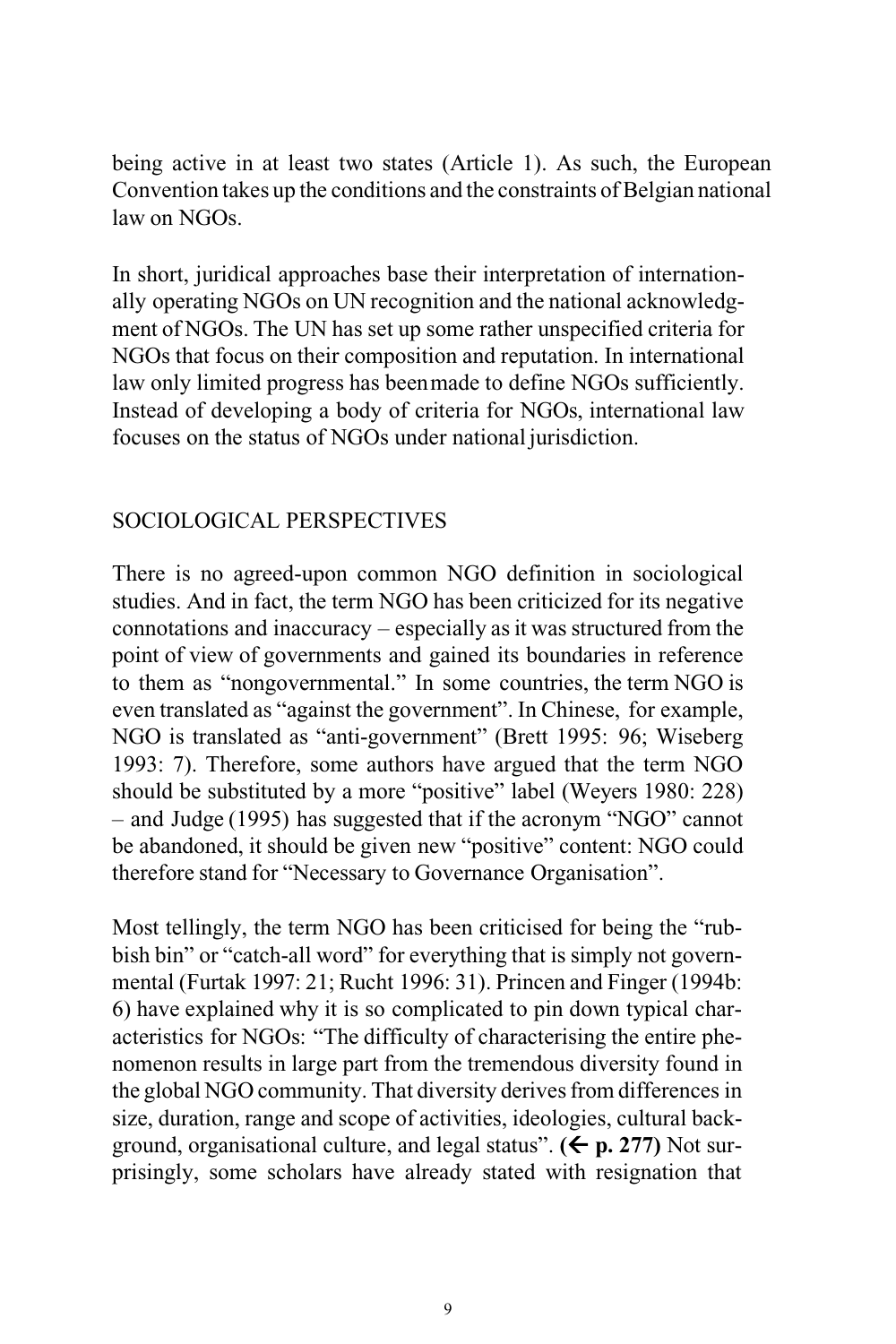being active in at least two states (Article 1). As such, the European Convention takes up the conditions and the constraints of Belgian national law on NGOs.

In short, juridical approaches base their interpretation of internationally operating NGOs on UN recognition and the national acknowledgment of NGOs. The UN has set up some rather unspecified criteria for NGOs that focus on their composition and reputation. In international law only limited progress has beenmade to define NGOs sufficiently. Instead of developing a body of criteria for NGOs, international law focuses on the status of NGOs under national jurisdiction.

## SOCIOLOGICAL PERSPECTIVES

There is no agreed-upon common NGO definition in sociological studies. And in fact, the term NGO has been criticized for its negative connotations and inaccuracy – especially as it was structured from the point of view of governments and gained its boundaries in reference to them as "nongovernmental." In some countries, the term NGO is even translated as "against the government". In Chinese, for example, NGO is translated as "anti-government" (Brett 1995: 96; Wiseberg 1993: 7). Therefore, some authors have argued that the term NGO should be substituted by a more "positive" label (Weyers 1980: 228) – and Judge (1995) has suggested that if the acronym "NGO" cannot be abandoned, it should be given new "positive" content: NGO could therefore stand for "Necessary to Governance Organisation".

Most tellingly, the term NGO has been criticised for being the "rubbish bin" or "catch-all word" for everything that is simply not governmental (Furtak 1997: 21; Rucht 1996: 31). Princen and Finger (1994b: 6) have explained why it is so complicated to pin down typical characteristics for NGOs: "The difficulty of characterising the entire phenomenon results in large part from the tremendous diversity found in the global NGO community. That diversity derives from differences in size, duration, range and scope of activities, ideologies, cultural background, organisational culture, and legal status".  $(\Leftarrow p. 277)$  Not surprisingly, some scholars have already stated with resignation that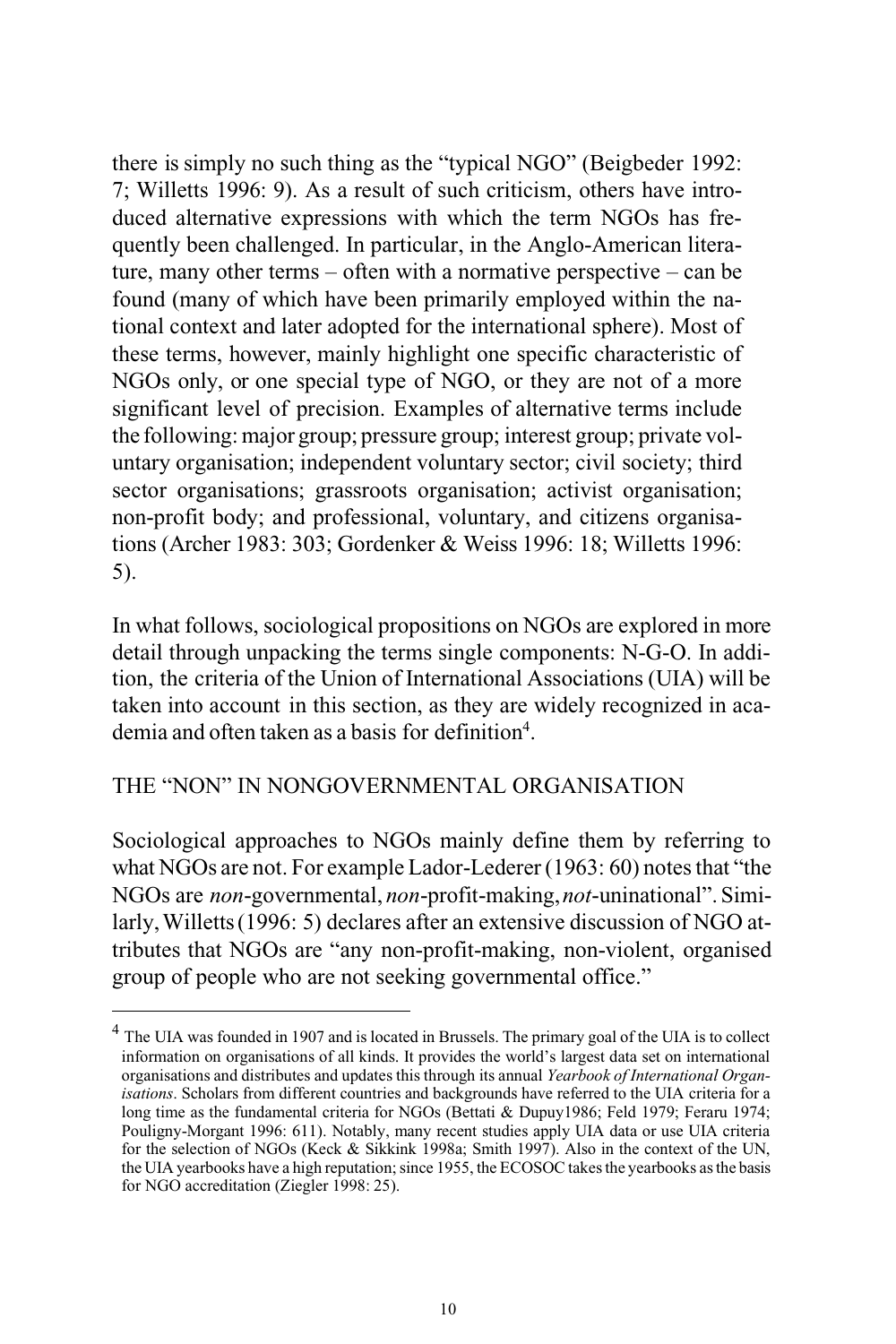there is simply no such thing as the "typical NGO" (Beigbeder 1992: 7; Willetts 1996: 9). As a result of such criticism, others have introduced alternative expressions with which the term NGOs has frequently been challenged. In particular, in the Anglo-American literature, many other terms – often with a normative perspective – can be found (many of which have been primarily employed within the national context and later adopted for the international sphere). Most of these terms, however, mainly highlight one specific characteristic of NGOs only, or one special type of NGO, or they are not of a more significant level of precision. Examples of alternative terms include the following:major group; pressure group; interest group; private voluntary organisation; independent voluntary sector; civil society; third sector organisations; grassroots organisation; activist organisation; non-profit body; and professional, voluntary, and citizens organisations (Archer 1983: 303; Gordenker & Weiss 1996: 18; Willetts 1996: 5).

In what follows, sociological propositions on NGOs are explored in more detail through unpacking the terms single components: N-G-O. In addition, the criteria of the Union of International Associations (UIA) will be taken into account in this section, as they are widely recognized in academia and often taken as a basis for definition<sup>4</sup>.

#### THE "NON" IN NONGOVERNMENTAL ORGANISATION

Sociological approaches to NGOs mainly define them by referring to what NGOs are not. For example Lador-Lederer (1963: 60) notes that "the NGOs are *non*-governmental, *non*-profit-making,*not*-uninational". Similarly,Willetts(1996: 5) declares after an extensive discussion of NGO attributes that NGOs are "any non-profit-making, non-violent, organised group of people who are not seeking governmental office."

<sup>&</sup>lt;sup>4</sup> The UIA was founded in 1907 and is located in Brussels. The primary goal of the UIA is to collect information on organisations of all kinds. It provides the world's largest data set on international organisations and distributes and updates this through its annual *Yearbook of International Organisations*. Scholars from different countries and backgrounds have referred to the UIA criteria for a long time as the fundamental criteria for NGOs (Bettati & Dupuy1986; Feld 1979; Feraru 1974; Pouligny-Morgant 1996: 611). Notably, many recent studies apply UIA data or use UIA criteria for the selection of NGOs (Keck & Sikkink 1998a; Smith 1997). Also in the context of the UN, the UIA yearbooks have a high reputation; since 1955, the ECOSOC takes the yearbooks as the basis for NGO accreditation (Ziegler 1998: 25).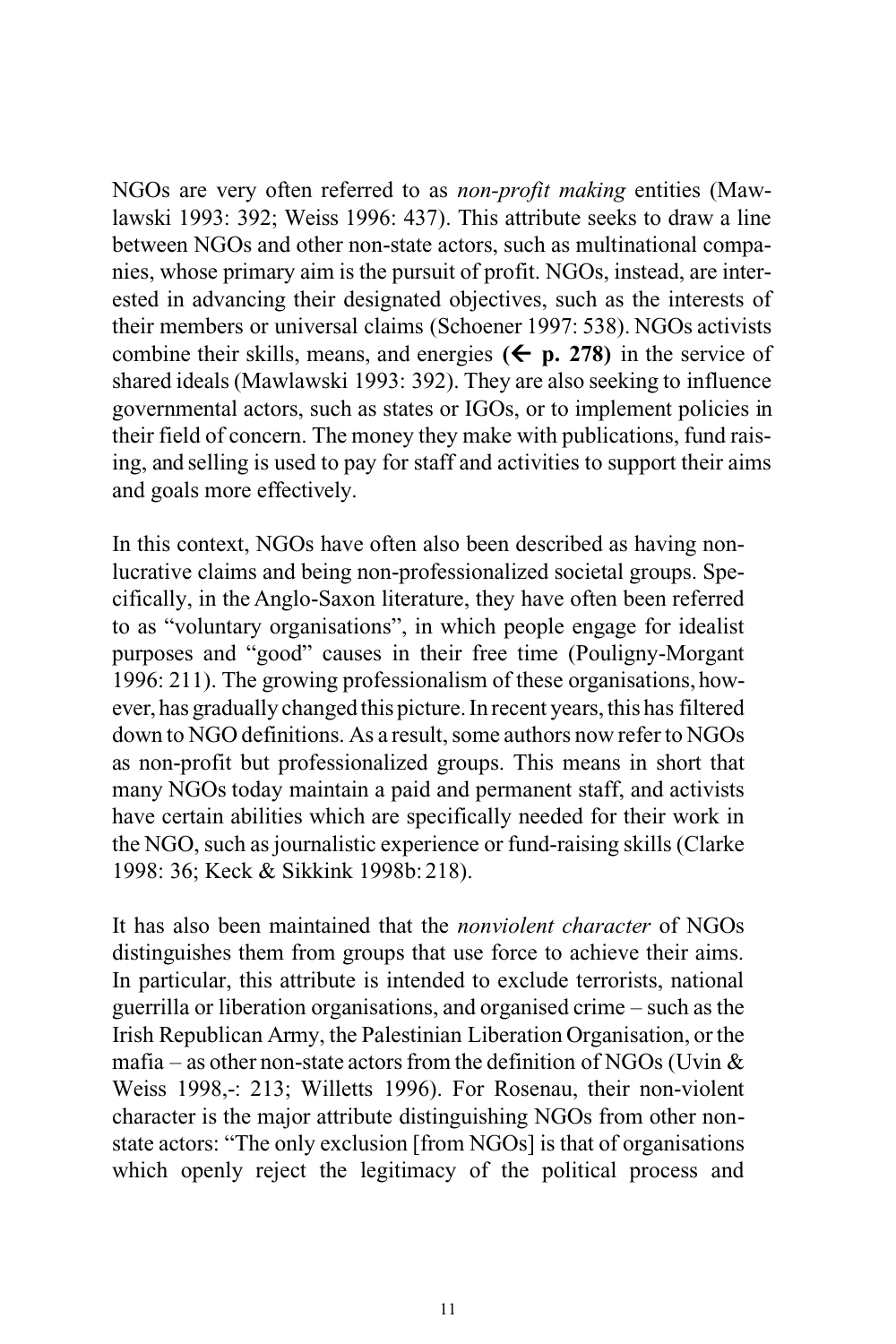NGOs are very often referred to as *non-profit making* entities (Mawlawski 1993: 392; Weiss 1996: 437). This attribute seeks to draw a line between NGOs and other non-state actors, such as multinational companies, whose primary aim is the pursuit of profit. NGOs, instead, are interested in advancing their designated objectives, such as the interests of their members or universal claims (Schoener 1997: 538). NGOs activists combine their skills, means, and energies  $(\epsilon)$  p. 278) in the service of shared ideals (Mawlawski 1993: 392). They are also seeking to influence governmental actors, such as states or IGOs, or to implement policies in their field of concern. The money they make with publications, fund raising, and selling is used to pay for staff and activities to support their aims and goals more effectively.

In this context, NGOs have often also been described as having nonlucrative claims and being non-professionalized societal groups. Specifically, in the Anglo-Saxon literature, they have often been referred to as "voluntary organisations", in which people engage for idealist purposes and "good" causes in their free time (Pouligny-Morgant 1996: 211). The growing professionalism of these organisations, however, has gradually changed this picture.In recent years, this has filtered down to NGO definitions. As a result, some authors now refer to NGOs as non-profit but professionalized groups. This means in short that many NGOs today maintain a paid and permanent staff, and activists have certain abilities which are specifically needed for their work in the NGO, such as journalistic experience or fund-raising skills (Clarke 1998: 36; Keck & Sikkink 1998b: 218).

It has also been maintained that the *nonviolent character* of NGOs distinguishes them from groups that use force to achieve their aims. In particular, this attribute is intended to exclude terrorists, national guerrilla or liberation organisations, and organised crime – such as the Irish Republican Army, the Palestinian Liberation Organisation, or the mafia – as other non-state actors from the definition of NGOs (Uvin  $\&$ Weiss 1998,-: 213; Willetts 1996). For Rosenau, their non-violent character is the major attribute distinguishing NGOs from other nonstate actors: "The only exclusion [from NGOs] is that of organisations which openly reject the legitimacy of the political process and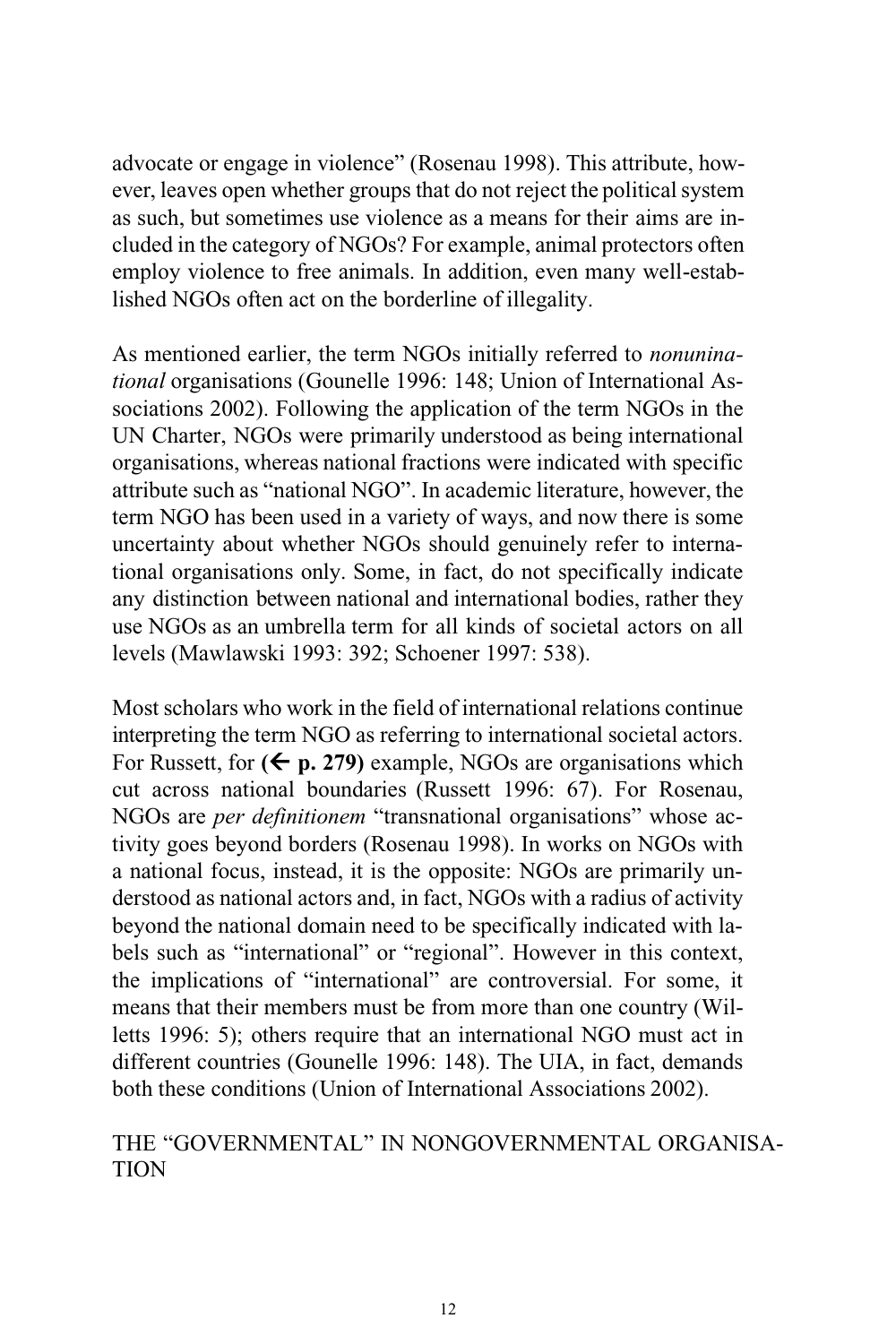advocate or engage in violence" (Rosenau 1998). This attribute, however, leaves open whether groups that do not reject the political system as such, but sometimes use violence as a means for their aims are included in the category of NGOs? For example, animal protectors often employ violence to free animals. In addition, even many well-established NGOs often act on the borderline of illegality.

As mentioned earlier, the term NGOs initially referred to *nonuninational* organisations (Gounelle 1996: 148; Union of International Associations 2002). Following the application of the term NGOs in the UN Charter, NGOs were primarily understood as being international organisations, whereas national fractions were indicated with specific attribute such as "national NGO". In academic literature, however, the term NGO has been used in a variety of ways, and now there is some uncertainty about whether NGOs should genuinely refer to international organisations only. Some, in fact, do not specifically indicate any distinction between national and international bodies, rather they use NGOs as an umbrella term for all kinds of societal actors on all levels (Mawlawski 1993: 392; Schoener 1997: 538).

Most scholars who work in the field of international relations continue interpreting the term NGO as referring to international societal actors. For Russett, for  $($  $\leftarrow$  **p. 279** $)$  example, NGOs are organisations which cut across national boundaries (Russett 1996: 67). For Rosenau, NGOs are *per definitionem* "transnational organisations" whose activity goes beyond borders (Rosenau 1998). In works on NGOs with a national focus, instead, it is the opposite: NGOs are primarily understood as national actors and, in fact, NGOs with a radius of activity beyond the national domain need to be specifically indicated with labels such as "international" or "regional". However in this context, the implications of "international" are controversial. For some, it means that their members must be from more than one country (Willetts 1996: 5); others require that an international NGO must act in different countries (Gounelle 1996: 148). The UIA, in fact, demands both these conditions (Union of International Associations 2002).

### THE "GOVERNMENTAL" IN NONGOVERNMENTAL ORGANISA-**TION**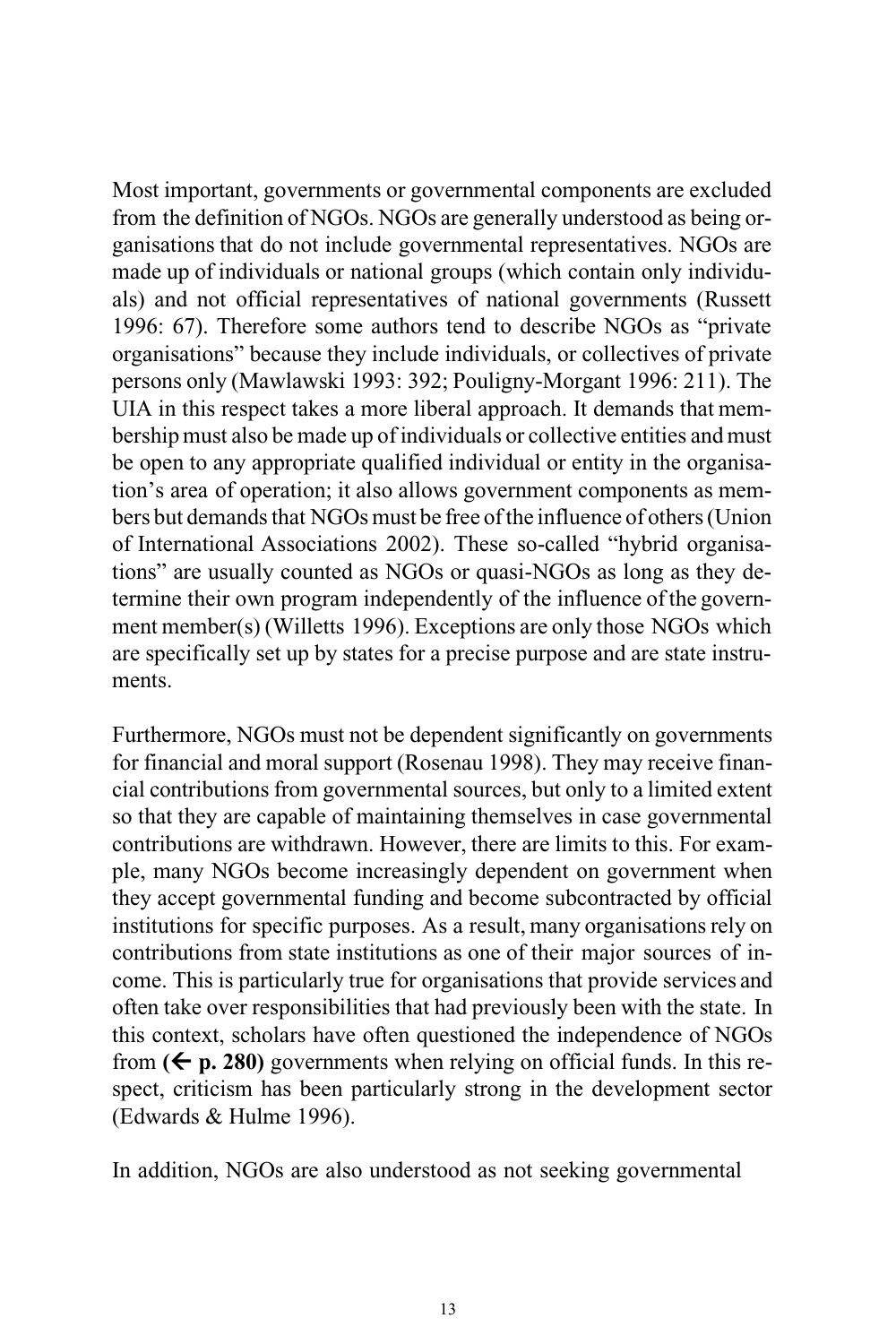Most important, governments or governmental components are excluded from the definition of NGOs. NGOs are generally understood as being organisations that do not include governmental representatives. NGOs are made up of individuals or national groups (which contain only individuals) and not official representatives of national governments (Russett 1996: 67). Therefore some authors tend to describe NGOs as "private organisations" because they include individuals, or collectives of private persons only (Mawlawski 1993: 392; Pouligny-Morgant 1996: 211). The UIA in this respect takes a more liberal approach. It demands that membershipmust also be made up of individuals or collective entities andmust be open to any appropriate qualified individual or entity in the organisation's area of operation; it also allows government components as members but demands that NGOs must be free of the influence of others (Union of International Associations 2002). These so-called "hybrid organisations" are usually counted as NGOs or quasi-NGOs as long as they determine their own program independently of the influence of the government member(s) (Willetts 1996). Exceptions are only those NGOs which are specifically set up by states for a precise purpose and are state instruments.

Furthermore, NGOs must not be dependent significantly on governments for financial and moral support (Rosenau 1998). They may receive financial contributions from governmental sources, but only to a limited extent so that they are capable of maintaining themselves in case governmental contributions are withdrawn. However, there are limits to this. For example, many NGOs become increasingly dependent on government when they accept governmental funding and become subcontracted by official institutions for specific purposes. As a result, many organisations rely on contributions from state institutions as one of their major sources of income. This is particularly true for organisations that provide services and often take over responsibilities that had previously been with the state. In this context, scholars have often questioned the independence of NGOs from  $(\leq p. 280)$  governments when relying on official funds. In this respect, criticism has been particularly strong in the development sector (Edwards & Hulme 1996).

In addition, NGOs are also understood as not seeking governmental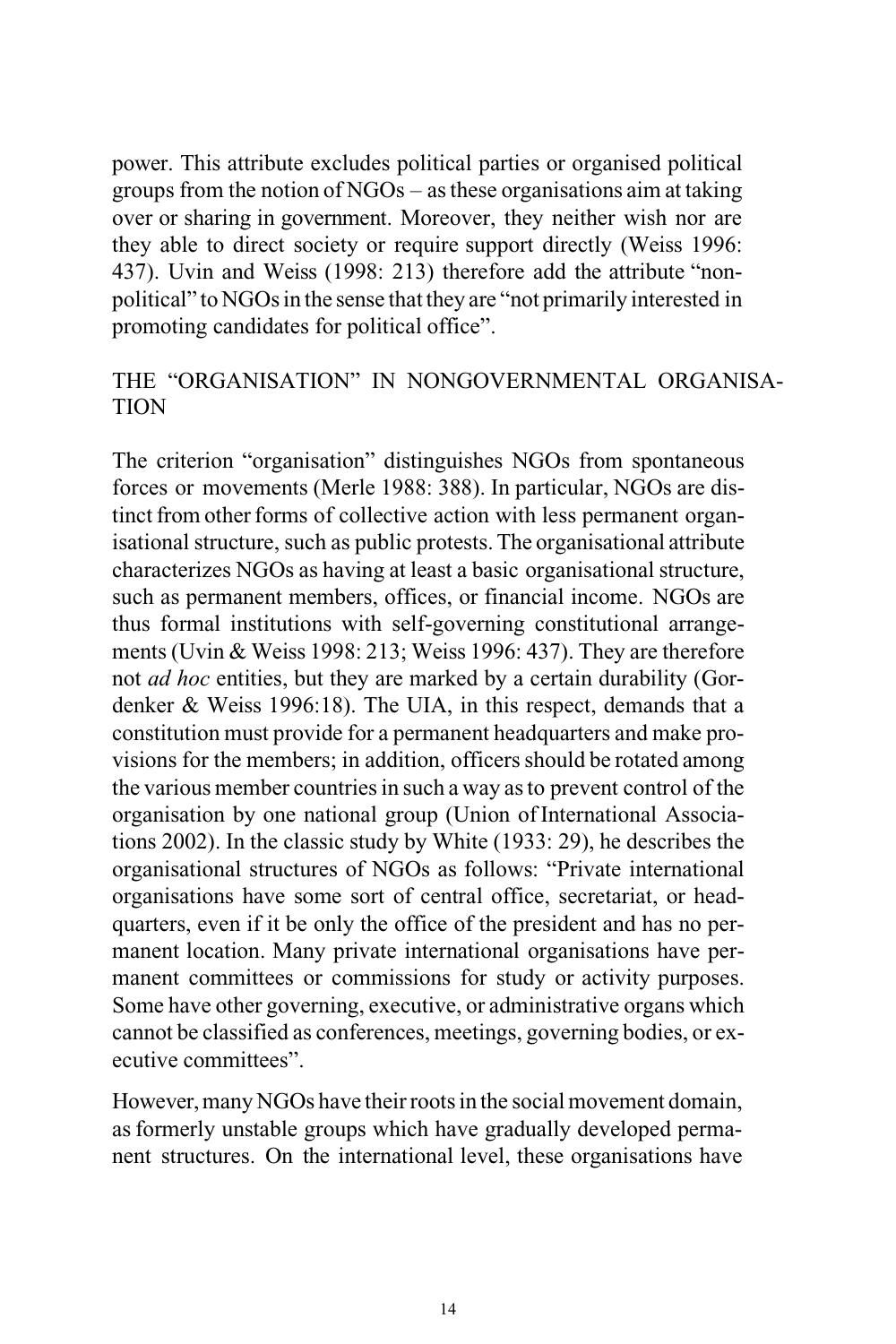power. This attribute excludes political parties or organised political groups from the notion of NGOs – asthese organisations aim at taking over or sharing in government. Moreover, they neither wish nor are they able to direct society or require support directly (Weiss 1996: 437). Uvin and Weiss (1998: 213) therefore add the attribute "nonpolitical" to NGOs in the sense that they are "not primarily interested in promoting candidates for political office".

## THE "ORGANISATION" IN NONGOVERNMENTAL ORGANISA-TION

The criterion "organisation" distinguishes NGOs from spontaneous forces or movements (Merle 1988: 388). In particular, NGOs are distinct from other forms of collective action with less permanent organisational structure, such as public protests. The organisational attribute characterizes NGOs as having at least a basic organisational structure, such as permanent members, offices, or financial income. NGOs are thus formal institutions with self-governing constitutional arrangements (Uvin & Weiss 1998: 213; Weiss 1996: 437). They are therefore not *ad hoc* entities, but they are marked by a certain durability (Gordenker & Weiss 1996:18). The UIA, in this respect, demands that a constitution must provide for a permanent headquarters and make provisions for the members; in addition, officers should be rotated among the various member countries in such a way as to prevent control of the organisation by one national group (Union ofInternational Associations 2002). In the classic study by White (1933: 29), he describes the organisational structures of NGOs as follows: "Private international organisations have some sort of central office, secretariat, or headquarters, even if it be only the office of the president and has no permanent location. Many private international organisations have permanent committees or commissions for study or activity purposes. Some have other governing, executive, or administrative organs which cannot be classified as conferences, meetings, governing bodies, or executive committees".

However, many NGOs have their roots in the social movement domain, asformerly unstable groups which have gradually developed permanent structures. On the international level, these organisations have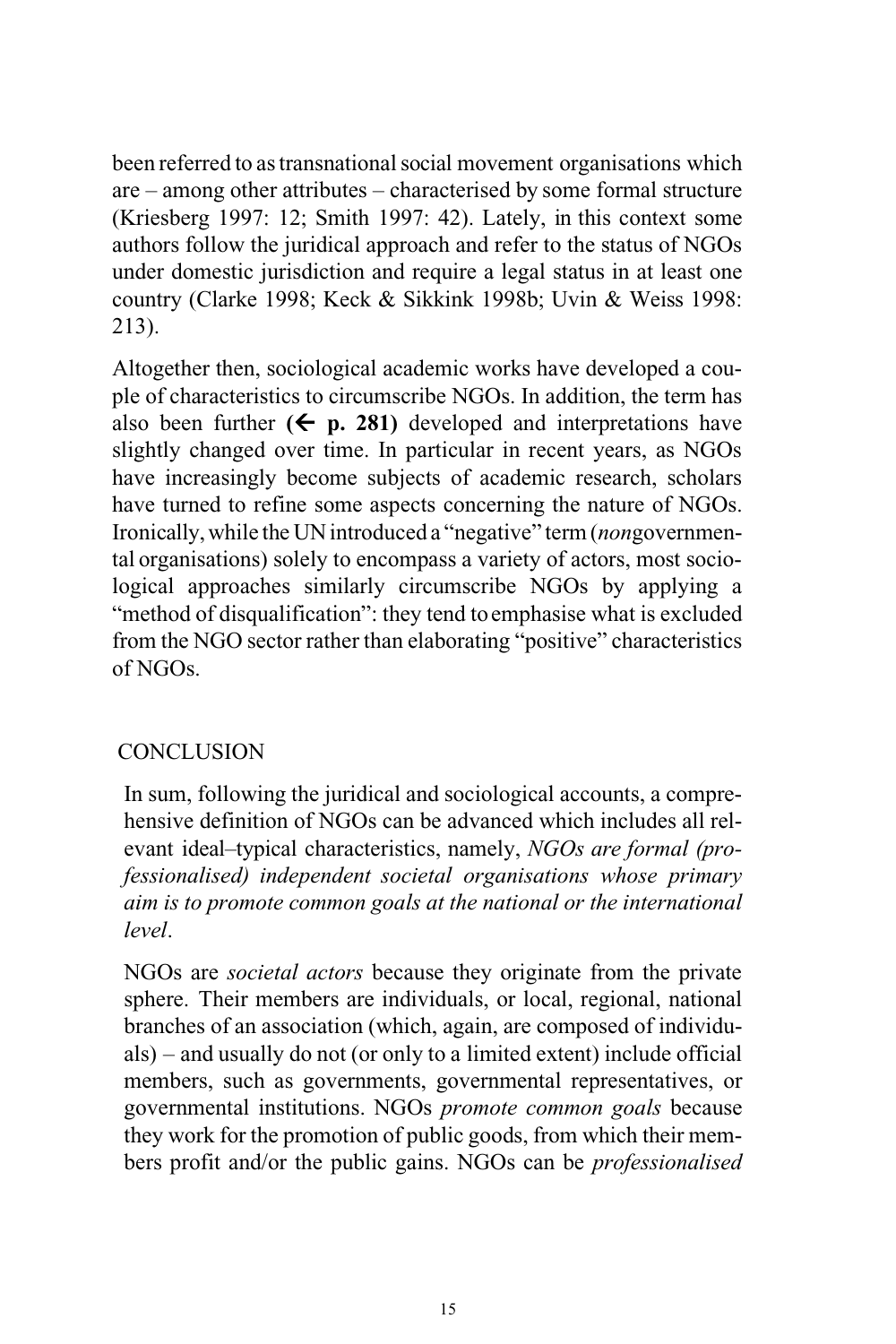been referred to as transnational social movement organisations which are – among other attributes – characterised by some formal structure (Kriesberg 1997: 12; Smith 1997: 42). Lately, in this context some authors follow the juridical approach and refer to the status of NGOs under domestic jurisdiction and require a legal status in at least one country (Clarke 1998; Keck & Sikkink 1998b; Uvin & Weiss 1998: 213).

Altogether then, sociological academic works have developed a couple of characteristics to circumscribe NGOs. In addition, the term has also been further  $($  **p. 281** $)$  developed and interpretations have slightly changed over time. In particular in recent years, as NGOs have increasingly become subjects of academic research, scholars have turned to refine some aspects concerning the nature of NGOs. Ironically,while the UNintroduced a "negative" term(*non*governmental organisations) solely to encompass a variety of actors, most sociological approaches similarly circumscribe NGOs by applying a "method of disqualification": they tend to emphasise what is excluded from the NGO sector rather than elaborating "positive" characteristics of NGOs.

#### **CONCLUSION**

In sum, following the juridical and sociological accounts, a comprehensive definition of NGOs can be advanced which includes all relevant ideal–typical characteristics, namely, *NGOs are formal (professionalised) independent societal organisations whose primary aim is to promote common goals at the national or the international level*.

NGOs are *societal actors* because they originate from the private sphere. Their members are individuals, or local, regional, national branches of an association (which, again, are composed of individuals) – and usually do not (or only to a limited extent) include official members, such as governments, governmental representatives, or governmental institutions. NGOs *promote common goals* because they work for the promotion of public goods, from which their members profit and/or the public gains. NGOs can be *professionalised*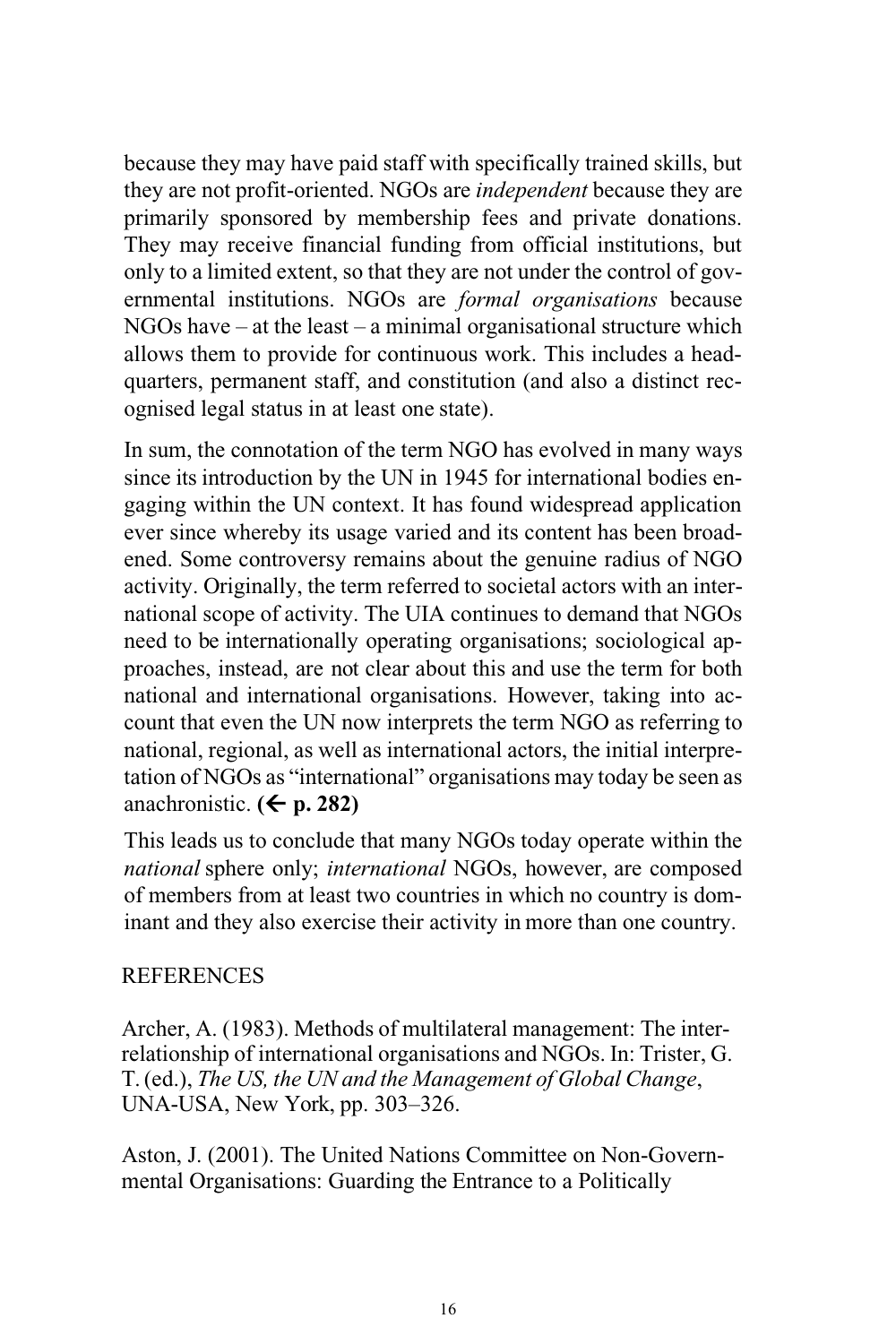because they may have paid staff with specifically trained skills, but they are not profit-oriented. NGOs are *independent* because they are primarily sponsored by membership fees and private donations. They may receive financial funding from official institutions, but only to a limited extent, so that they are not under the control of governmental institutions. NGOs are *formal organisations* because  $NGOs$  have – at the least – a minimal organisational structure which allows them to provide for continuous work. This includes a headquarters, permanent staff, and constitution (and also a distinct recognised legal status in at least one state).

In sum, the connotation of the term NGO has evolved in many ways since its introduction by the UN in 1945 for international bodies engaging within the UN context. It has found widespread application ever since whereby its usage varied and its content has been broadened. Some controversy remains about the genuine radius of NGO activity. Originally, the term referred to societal actors with an international scope of activity. The UIA continues to demand that NGOs need to be internationally operating organisations; sociological approaches, instead, are not clear about this and use the term for both national and international organisations. However, taking into account that even the UN now interprets the term NGO as referring to national, regional, as well as international actors, the initial interpretation of NGOs as "international" organisations may today be seen as anachronistic.  $($  <b>+</b> p. 282)

This leads us to conclude that many NGOs today operate within the *national* sphere only; *international* NGOs, however, are composed of members from at least two countries in which no country is dominant and they also exercise their activity in more than one country.

#### **REFERENCES**

Archer, A. (1983). Methods of multilateral management: The interrelationship of international organisations and NGOs. In: Trister, G. T.(ed.), *The US, the UN and the Management of Global Change*, UNA-USA, New York, pp. 303–326.

Aston, J. (2001). The United Nations Committee on Non-Governmental Organisations: Guarding the Entrance to a Politically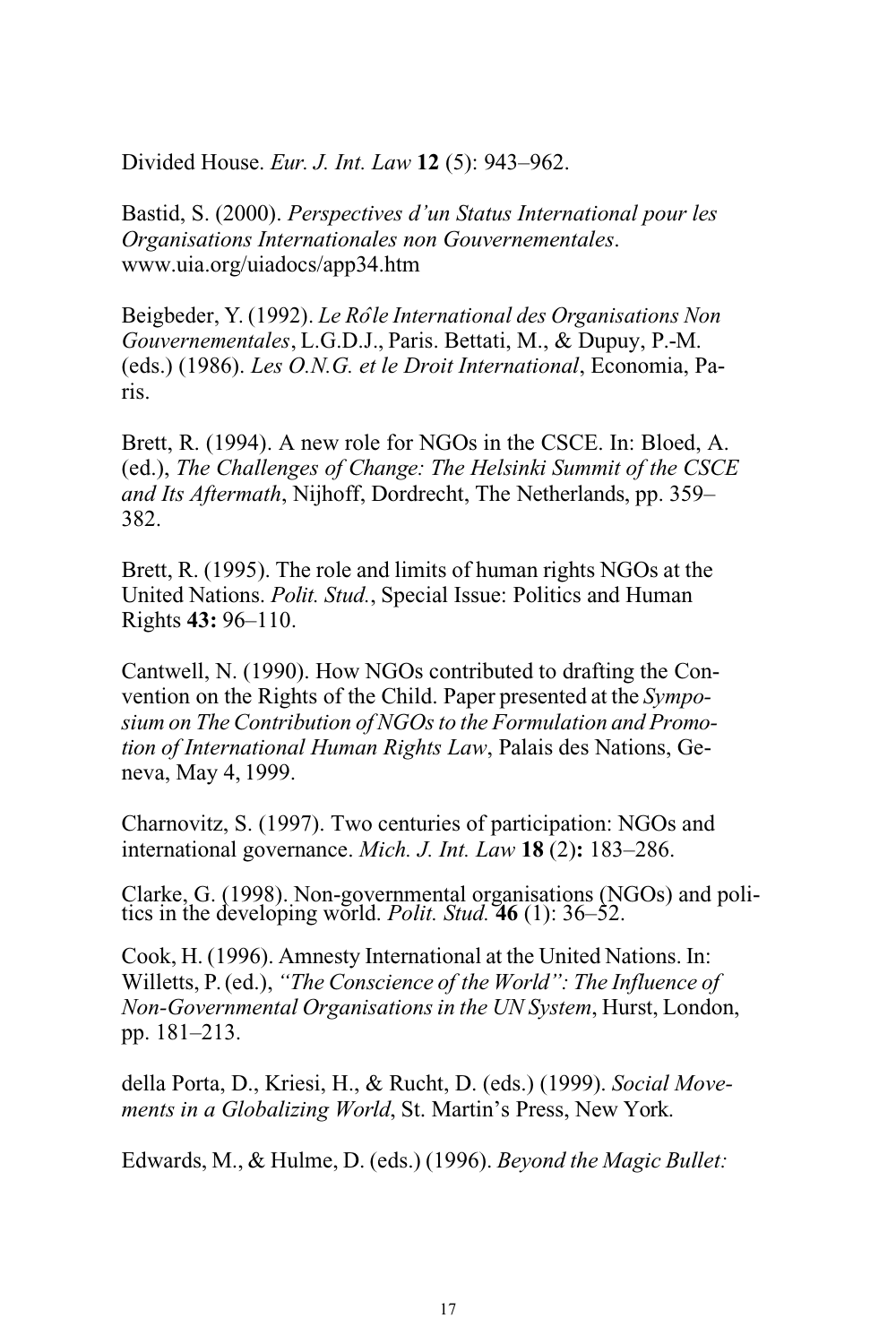Divided House. *Eur. J. Int. Law* **12** (5): 943–962.

Bastid, S. (2000). *Perspectives d'un Status International pour les Organisations Internationales non Gouvernementales*. [www.uia.org/uiadocs/app34.htm](http://www.uia.org/uiadocs/app34.htm)

Beigbeder, Y. (1992). *Le Roˆle International des Organisations Non Gouvernementales*, L.G.D.J., Paris. Bettati, M., & Dupuy, P.-M. (eds.) (1986). *Les O.N.G. et le Droit International*, Economia, Paris.

Brett, R. (1994). A new role for NGOs in the CSCE. In: Bloed, A. (ed.), *The Challenges of Change: The Helsinki Summit of the CSCE and Its Aftermath*, Nijhoff, Dordrecht, The Netherlands, pp. 359– 382.

Brett, R. (1995). The role and limits of human rights NGOs at the United Nations. *Polit. Stud.*, Special Issue: Politics and Human Rights **43:** 96–110.

Cantwell, N. (1990). How NGOs contributed to drafting the Convention on the Rights of the Child. Paper presented at the *Symposium on The Contribution of NGOsto the Formulation and Promotion of International Human Rights Law*, Palais des Nations, Geneva, May 4, 1999.

Charnovitz, S. (1997). Two centuries of participation: NGOs and international governance. *Mich. J. Int. Law* **18** (2)**:** 183–286.

Clarke, G. (1998). Non-governmental organisations (NGOs) and politics in the developing world. *Polit. Stud.* **46** (1): 36–52.

Cook, H. (1996). Amnesty International at the United Nations. In: Willetts, P.(ed.), *"The Conscience of the World": The Influence of Non-Governmental Organisationsin the UN System*, Hurst, London, pp. 181–213.

della Porta, D., Kriesi, H., & Rucht, D. (eds.) (1999). *Social Movements in a Globalizing World*, St. Martin's Press, New York.

Edwards, M., & Hulme, D. (eds.) (1996). *Beyond the Magic Bullet:*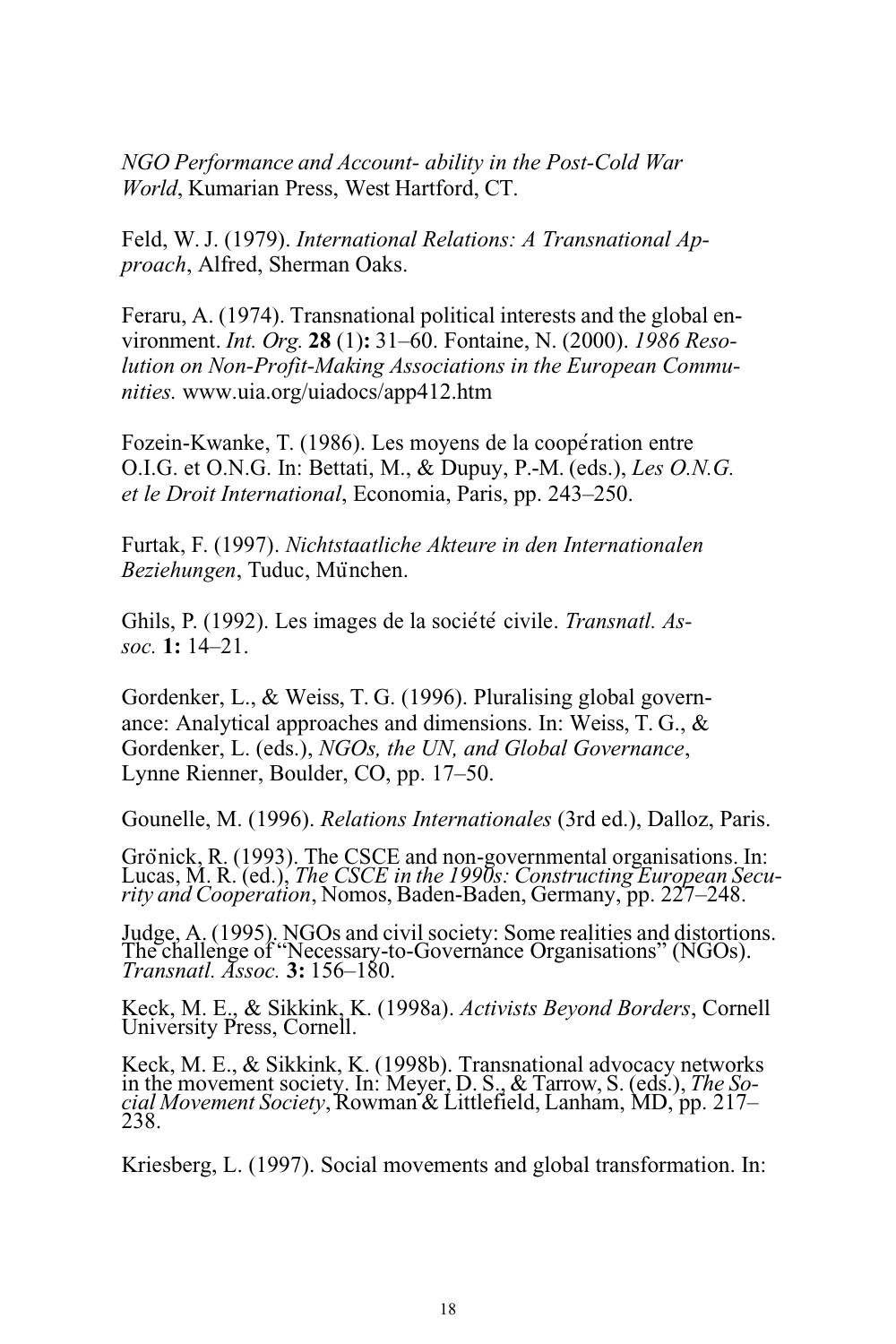*NGO Performance and Account- ability in the Post-Cold War World*, Kumarian Press, West Hartford, CT.

Feld, W. J. (1979). *International Relations: A Transnational Approach*, Alfred, Sherman Oaks.

Feraru, A. (1974). Transnational political interests and the global environment. *Int. Org.* **28** (1)**:** 31–60. Fontaine, N. (2000). *1986 Resolution on Non-Profit-Making Associations in the European Communities.* [www.uia.org/uiadocs/app412.htm](http://www.uia.org/uiadocs/app412.htm)

Fozein-Kwanke, T. (1986). Les moyens de la coopération entre O.I.G. et O.N.G. In: Bettati, M., & Dupuy, P.-M. (eds.), *Les O.N.G. et le Droit International*, Economia, Paris, pp. 243–250.

Furtak, F. (1997). *Nichtstaatliche Akteure in den Internationalen Beziehungen*, Tuduc, Mu¨nchen.

Ghils, P. (1992). Les images de la société civile. *Transnatl. Assoc.* **1:** 14–21.

Gordenker, L., & Weiss, T. G. (1996). Pluralising global governance: Analytical approaches and dimensions. In: Weiss, T. G., & Gordenker, L. (eds.), *NGOs, the UN, and Global Governance*, Lynne Rienner, Boulder, CO, pp. 17–50.

Gounelle, M. (1996). *Relations Internationales* (3rd ed.), Dalloz, Paris.

Grönick, R. (1993). The CSCE and non-governmental organisations. In: Lucas, M. R. (ed.), *The CSCE in the 1990s: Constructing European Security and Cooperation*, Nomos, Baden-Baden, Germany, pp. 227–248.

Judge, A. (1995). NGOs and civilsociety: Some realities and distortions. The challenge of "Necessary-to-Governance Organisations" (NGOs). *Transnatl. Assoc.* **3:** 156–180.

Keck, M. E., & Sikkink, K. (1998a). *Activists Beyond Borders*, Cornell University Press, Cornell.

Keck, M. E., & Sikkink, K. (1998b). Transnational advocacy networks in the movement society. In: Meyer, D. S., & Tarrow, S. (eds.), *The Social Movement Society*, Rowman & Littlefield, Lanham, MD, pp. 217– 238.

Kriesberg, L. (1997). Social movements and global transformation. In: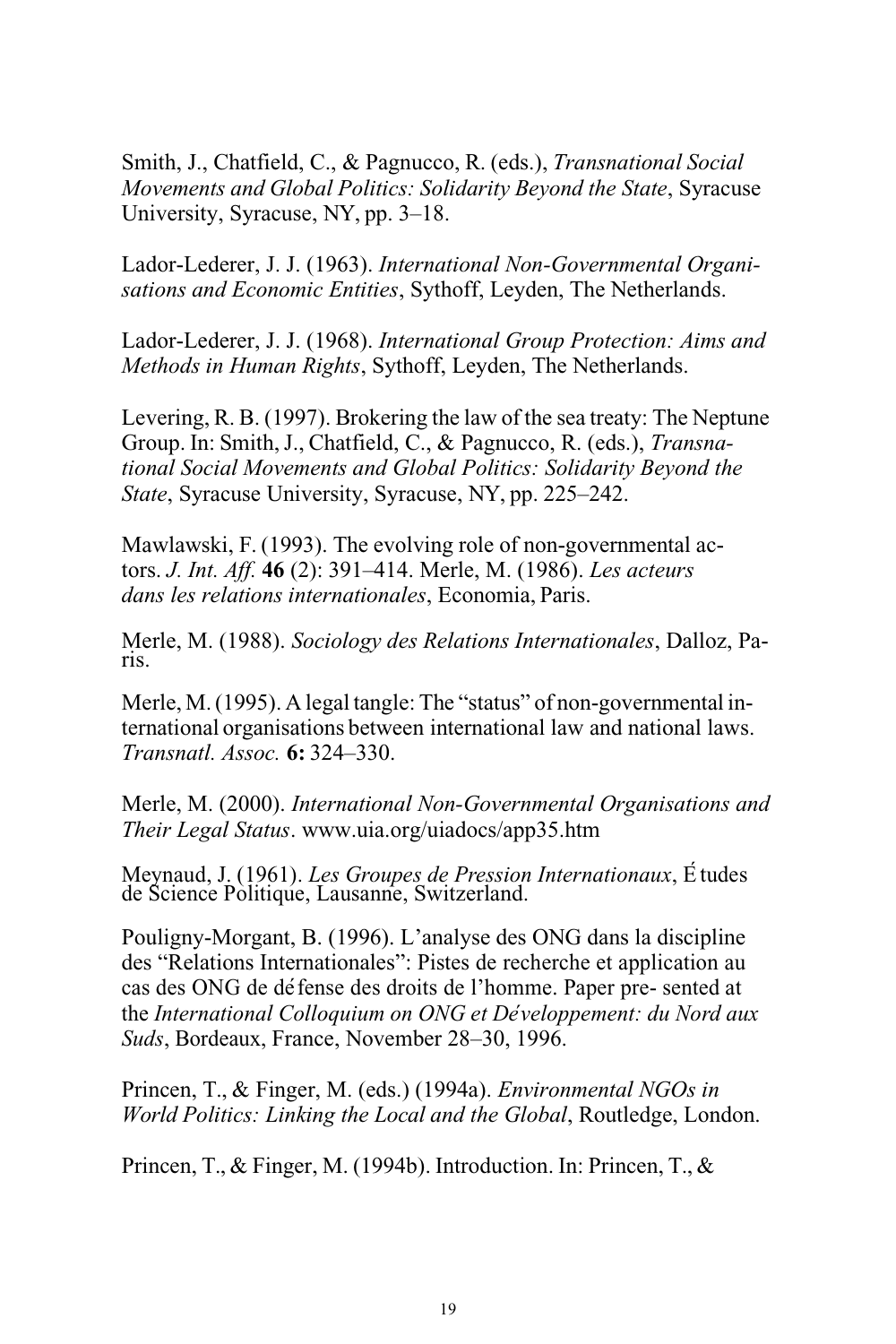Smith, J., Chatfield, C., & Pagnucco, R. (eds.), *Transnational Social Movements and Global Politics: Solidarity Beyond the State*, Syracuse University, Syracuse, NY, pp. 3–18.

Lador-Lederer, J. J. (1963). *International Non-Governmental Organisations and Economic Entities*, Sythoff, Leyden, The Netherlands.

Lador-Lederer, J. J. (1968). *International Group Protection: Aims and Methods in Human Rights*, Sythoff, Leyden, The Netherlands.

Levering, R. B. (1997). Brokering the law of the sea treaty: The Neptune Group. In: Smith,J., Chatfield, C., & Pagnucco, R. (eds.), *Transnational Social Movements and Global Politics: Solidarity Beyond the State*, Syracuse University, Syracuse, NY, pp. 225–242.

Mawlawski, F. (1993). The evolving role of non-governmental actors. *J. Int. Aff.* **46** (2): 391–414. Merle, M. (1986). *Les acteurs dans les relations internationales*, Economia, Paris.

Merle, M. (1988). *Sociology des Relations Internationales*, Dalloz, Paris.

Merle, M.(1995). A legal tangle: The "status" of non-governmental international organisations between international law and national laws. *Transnatl. Assoc.* **6:** 324–330.

Merle, M. (2000). *International Non-Governmental Organisations and Their Legal Status*. [www.uia.org/uiadocs/app35.htm](http://www.uia.org/uiadocs/app35.htm)

Meynaud, J. (1961). *Les Groupes de Pression Internationaux*, E´ tudes de Science Politique, Lausanne, Switzerland.

Pouligny-Morgant, B. (1996). L'analyse des ONG dans la discipline des "Relations Internationales": Pistes de recherche et application au cas des ONG de de´fense des droits de l'homme. Paper pre- sented at the *International Colloquium on ONG et De´veloppement: du Nord aux Suds*, Bordeaux, France, November 28–30, 1996.

Princen, T., & Finger, M. (eds.) (1994a). *Environmental NGOs in World Politics: Linking the Local and the Global*, Routledge, London.

Princen, T., & Finger, M. (1994b). Introduction. In: Princen, T., &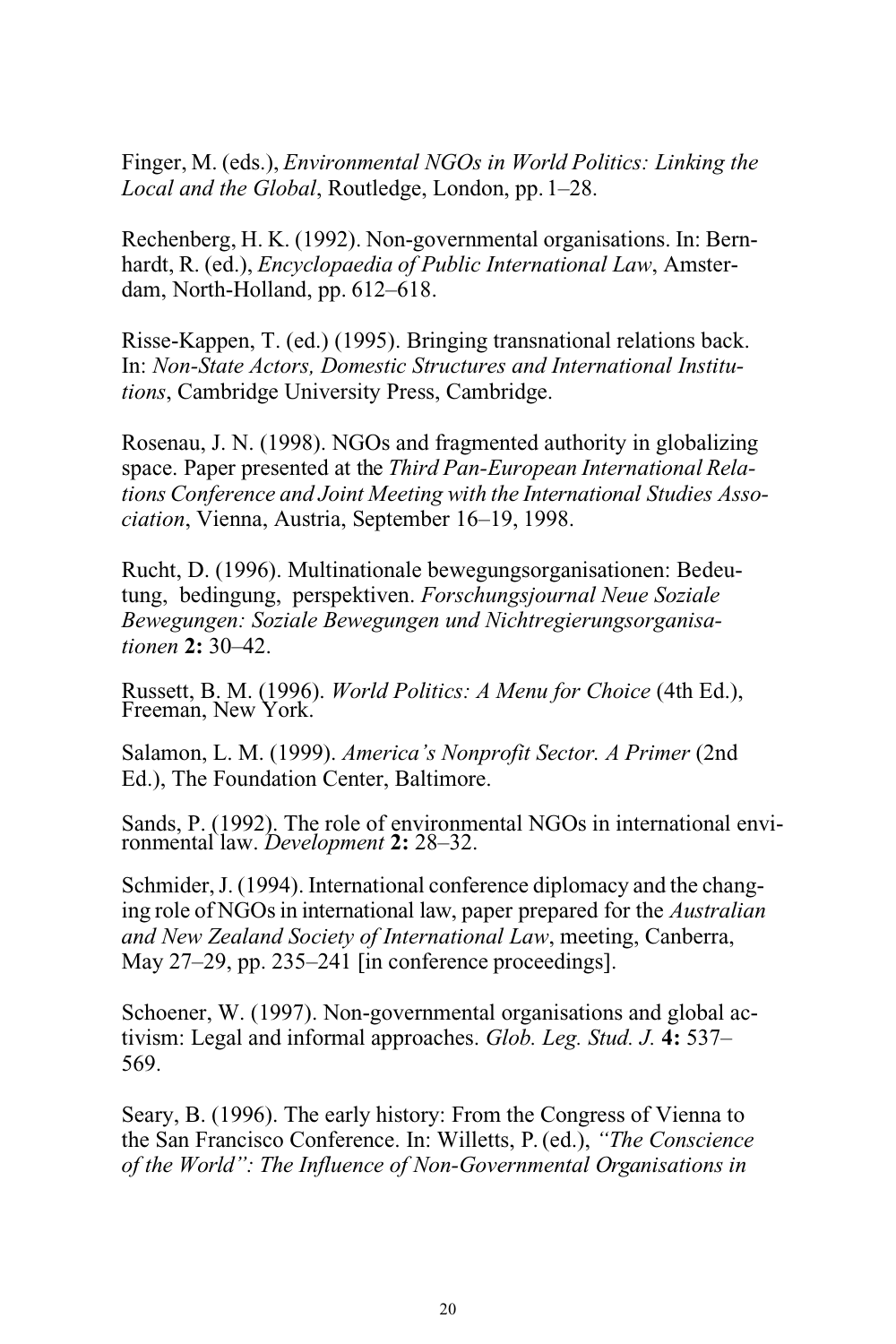Finger, M. (eds.), *Environmental NGOs in World Politics: Linking the Local and the Global*, Routledge, London, pp.1–28.

Rechenberg, H. K. (1992). Non-governmental organisations. In: Bernhardt, R. (ed.), *Encyclopaedia of Public International Law*, Amsterdam, North-Holland, pp. 612–618.

Risse-Kappen, T. (ed.) (1995). Bringing transnational relations back. In: *Non-State Actors, Domestic Structures and International Institutions*, Cambridge University Press, Cambridge.

Rosenau, J. N. (1998). NGOs and fragmented authority in globalizing space. Paper presented at the *Third Pan-European International Relations Conference and Joint Meeting with the International Studies Association*, Vienna, Austria, September 16–19, 1998.

Rucht, D. (1996). Multinationale bewegungsorganisationen: Bedeutung, bedingung, perspektiven. *Forschungsjournal Neue Soziale Bewegungen: Soziale Bewegungen und Nichtregierungsorganisationen* **2:** 30–42.

Russett, B. M. (1996). *World Politics: A Menu for Choice* (4th Ed.), Freeman, New York.

Salamon, L. M. (1999). *America's Nonprofit Sector. A Primer* (2nd Ed.), The Foundation Center, Baltimore.

Sands, P. (1992). The role of environmental NGOs in international environmental law. *Development* **2:** 28–32.

Schmider, J. (1994). International conference diplomacy and the changing role of NGOsin international law, paper prepared for the *Australian and New Zealand Society of International Law*, meeting, Canberra, May 27–29, pp. 235–241 [in conference proceedings].

Schoener, W. (1997). Non-governmental organisations and global activism: Legal and informal approaches. *Glob. Leg. Stud. J.* **4:** 537– 569.

Seary, B. (1996). The early history: From the Congress of Vienna to the San Francisco Conference. In: Willetts, P. (ed.), *"The Conscience of the World": The Influence of Non-Governmental Organisations in*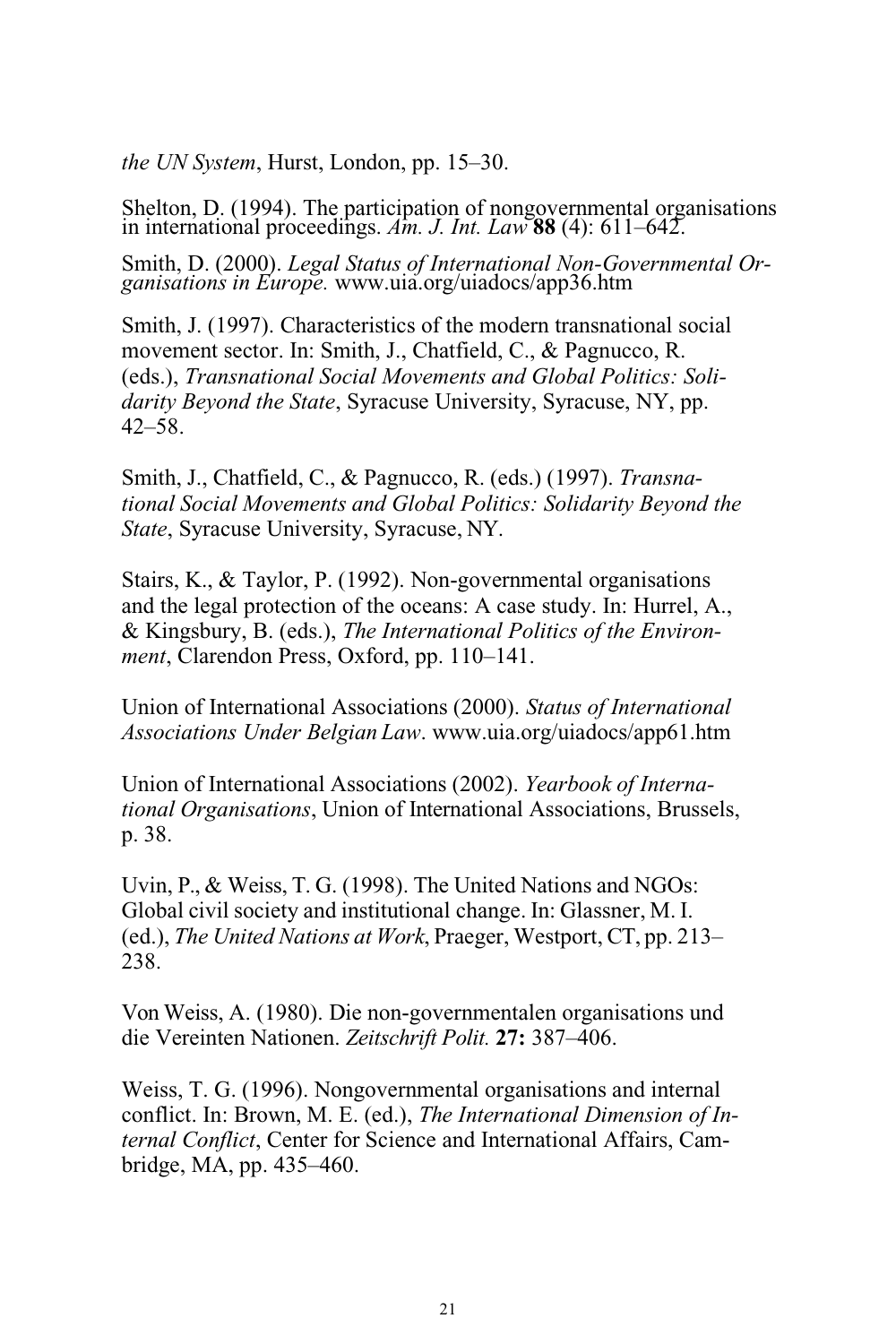*the UN System*, Hurst, London, pp. 15–30.

Shelton, D. (1994). The participation of nongovernmental organisations in international proceedings. *Am. J. Int. Law* **88** (4): 611–642.

Smith, D. (2000). *Legal Status of International Non-Governmental Organisations in Europe.* [www.uia.org/uiadocs/app36.htm](http://www.uia.org/uiadocs/app36.htm)

Smith, J. (1997). Characteristics of the modern transnational social movement sector. In: Smith, J., Chatfield, C., & Pagnucco, R. (eds.), *Transnational Social Movements and Global Politics: Solidarity Beyond the State*, Syracuse University, Syracuse, NY, pp.  $42 - 58$ 

Smith, J., Chatfield, C., & Pagnucco, R. (eds.) (1997). *Transnational Social Movements and Global Politics: Solidarity Beyond the State*, Syracuse University, Syracuse, NY.

Stairs, K., & Taylor, P. (1992). Non-governmental organisations and the legal protection of the oceans: A case study. In: Hurrel, A., & Kingsbury, B. (eds.), *The International Politics of the Environment*, Clarendon Press, Oxford, pp. 110–141.

Union of International Associations (2000). *Status of International Associations Under Belgian Law*. [www.uia.org/uiadocs/app61.htm](http://www.uia.org/uiadocs/app61.htm)

Union of International Associations (2002). *Yearbook of International Organisations*, Union of International Associations, Brussels, p. 38.

Uvin, P., & Weiss, T. G. (1998). The United Nations and NGOs: Global civil society and institutional change. In: Glassner, M. I. (ed.), *The United Nations at Work*, Praeger, Westport, CT, pp. 213– 238.

Von Weiss, A. (1980). Die non-governmentalen organisations und die Vereinten Nationen. *Zeitschrift Polit.* **27:** 387–406.

Weiss, T. G. (1996). Nongovernmental organisations and internal conflict. In: Brown, M. E. (ed.), *The International Dimension of Internal Conflict*, Center for Science and International Affairs, Cambridge, MA, pp. 435–460.